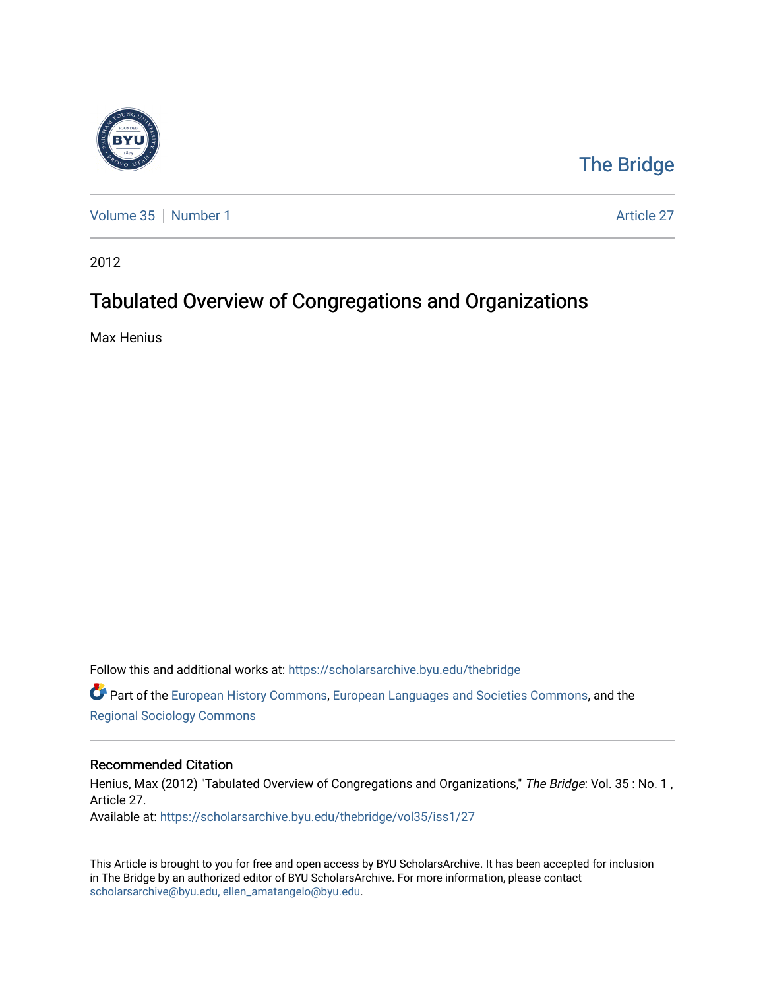

# [The Bridge](https://scholarsarchive.byu.edu/thebridge)

[Volume 35](https://scholarsarchive.byu.edu/thebridge/vol35) | [Number 1](https://scholarsarchive.byu.edu/thebridge/vol35/iss1) Article 27

2012

# Tabulated Overview of Congregations and Organizations

Max Henius

Follow this and additional works at: [https://scholarsarchive.byu.edu/thebridge](https://scholarsarchive.byu.edu/thebridge?utm_source=scholarsarchive.byu.edu%2Fthebridge%2Fvol35%2Fiss1%2F27&utm_medium=PDF&utm_campaign=PDFCoverPages)  **C** Part of the [European History Commons](http://network.bepress.com/hgg/discipline/492?utm_source=scholarsarchive.byu.edu%2Fthebridge%2Fvol35%2Fiss1%2F27&utm_medium=PDF&utm_campaign=PDFCoverPages), [European Languages and Societies Commons,](http://network.bepress.com/hgg/discipline/482?utm_source=scholarsarchive.byu.edu%2Fthebridge%2Fvol35%2Fiss1%2F27&utm_medium=PDF&utm_campaign=PDFCoverPages) and the

[Regional Sociology Commons](http://network.bepress.com/hgg/discipline/427?utm_source=scholarsarchive.byu.edu%2Fthebridge%2Fvol35%2Fiss1%2F27&utm_medium=PDF&utm_campaign=PDFCoverPages) 

# Recommended Citation

Henius, Max (2012) "Tabulated Overview of Congregations and Organizations," The Bridge: Vol. 35 : No. 1, Article 27. Available at: [https://scholarsarchive.byu.edu/thebridge/vol35/iss1/27](https://scholarsarchive.byu.edu/thebridge/vol35/iss1/27?utm_source=scholarsarchive.byu.edu%2Fthebridge%2Fvol35%2Fiss1%2F27&utm_medium=PDF&utm_campaign=PDFCoverPages)

This Article is brought to you for free and open access by BYU ScholarsArchive. It has been accepted for inclusion in The Bridge by an authorized editor of BYU ScholarsArchive. For more information, please contact [scholarsarchive@byu.edu, ellen\\_amatangelo@byu.edu](mailto:scholarsarchive@byu.edu,%20ellen_amatangelo@byu.edu).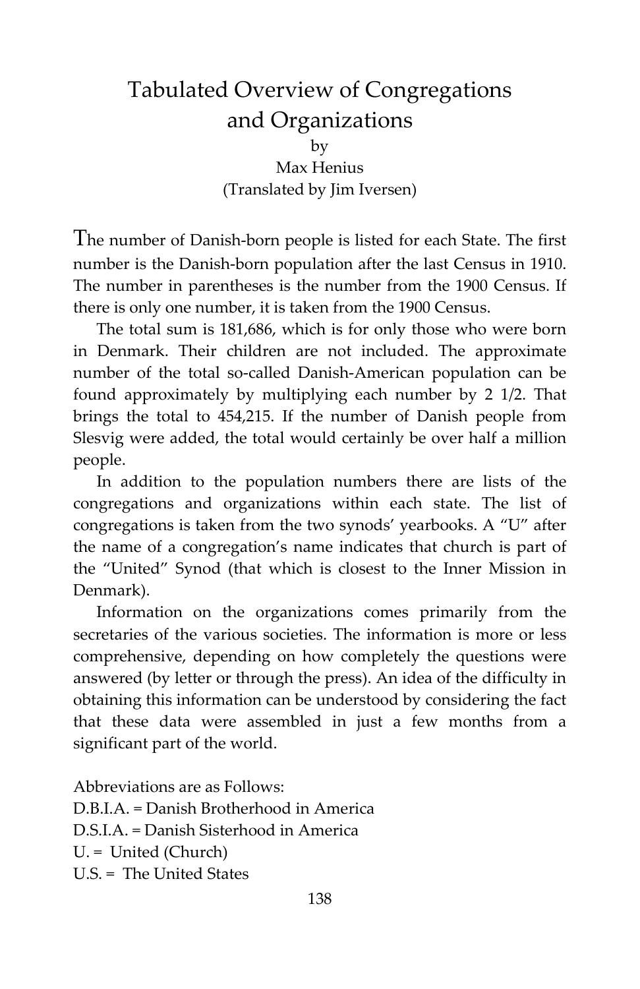# Tabulated Overview of Congregations and Organizations by Max Henius (Translated by Jim Iversen)

The number of Danish-born people is listed for each State. The first number is the Danish-born population after the last Census in 1910. The number in parentheses is the number from the 1900 Census. If there is only one number, it is taken from the 1900 Census.

The total sum is 181,686, which is for only those who were born in Denmark. Their children are not included. The approximate number of the total so-called Danish-American population can be found approximately by multiplying each number by 2 1/2. That brings the total to 454,215. If the number of Danish people from Slesvig were added, the total would certainly be over half a million people.

In addition to the population numbers there are lists of the congregations and organizations within each state. The list of congregations is taken from the two synods' yearbooks. A "U" after the name of a congregation's name indicates that church is part of the "United" Synod (that which is closest to the Inner Mission in Denmark).

Information on the organizations comes primarily from the secretaries of the various societies. The information is more or less comprehensive, depending on how completely the questions were answered (by letter or through the press). An idea of the difficulty in obtaining this information can be understood by considering the fact that these data were assembled in just a few months from a significant part of the world.

Abbreviations are as Follows: D.B.I.A. = Danish Brotherhood in America D.S.I.A. = Danish Sisterhood in America U. = United (Church) U.S. = The United States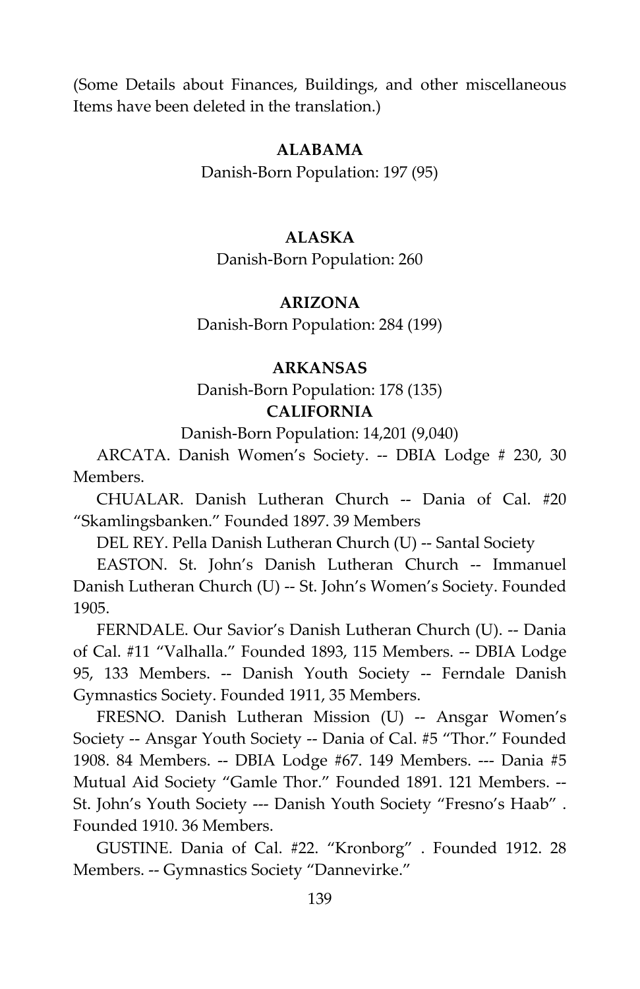(Some Details about Finances, Buildings, and other miscellaneous Items have been deleted in the translation.)

# **ALABAMA**

Danish-Born Population: 197 (95)

# **ALASKA**

Danish-Born Population: 260

## **ARIZONA**

Danish-Born Population: 284 (199)

# **ARKANSAS**

Danish-Born Population: 178 (135) **CALIFORNIA**

Danish-Born Population: 14,201 (9,040)

ARCATA. Danish Women's Society. -- DBIA Lodge # 230, 30 Members.

CHUALAR. Danish Lutheran Church -- Dania of Cal. #20 "Skamlingsbanken." Founded 1897. 39 Members

DEL REY. Pella Danish Lutheran Church (U) -- Santal Society

EASTON. St. John's Danish Lutheran Church -- Immanuel Danish Lutheran Church (U) -- St. John's Women's Society. Founded 1905.

FERNDALE. Our Savior's Danish Lutheran Church (U). -- Dania of Cal. #11 "Valhalla." Founded 1893, 115 Members. -- DBIA Lodge 95, 133 Members. -- Danish Youth Society -- Ferndale Danish Gymnastics Society. Founded 1911, 35 Members.

FRESNO. Danish Lutheran Mission (U) -- Ansgar Women's Society -- Ansgar Youth Society -- Dania of Cal. #5 "Thor." Founded 1908. 84 Members. -- DBIA Lodge #67. 149 Members. --- Dania #5 Mutual Aid Society "Gamle Thor." Founded 1891. 121 Members. -- St. John's Youth Society --- Danish Youth Society "Fresno's Haab" . Founded 1910. 36 Members.

GUSTINE. Dania of Cal. #22. "Kronborg" . Founded 1912. 28 Members. -- Gymnastics Society "Dannevirke."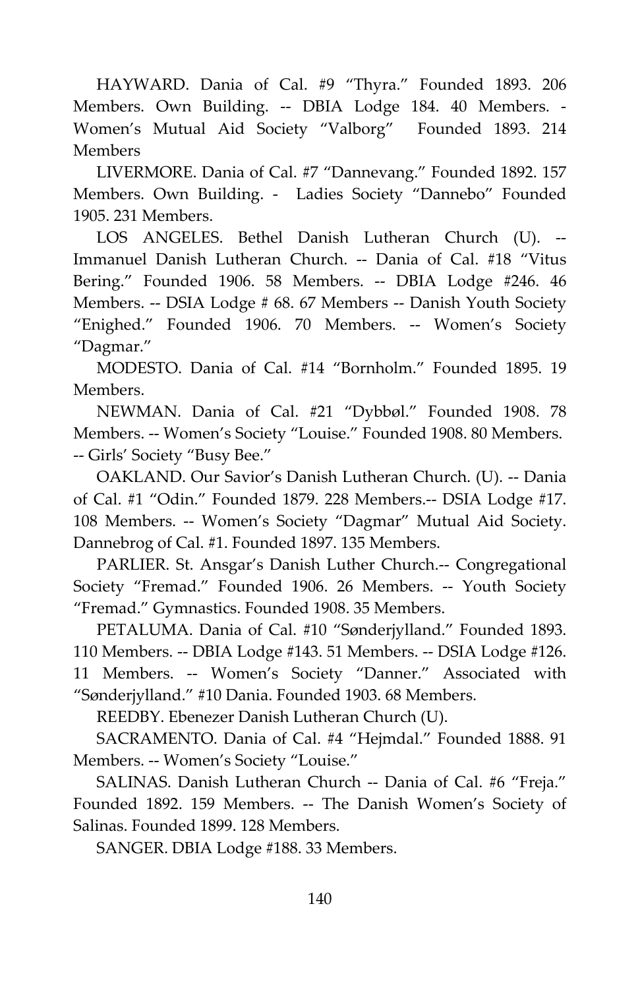HAYWARD. Dania of Cal. #9 "Thyra." Founded 1893. 206 Members. Own Building. -- DBIA Lodge 184. 40 Members. - Women's Mutual Aid Society "Valborg" Founded 1893. 214 **Members** 

LIVERMORE. Dania of Cal. #7 "Dannevang." Founded 1892. 157 Members. Own Building. - Ladies Society "Dannebo" Founded 1905. 231 Members.

LOS ANGELES. Bethel Danish Lutheran Church (U). -- Immanuel Danish Lutheran Church. -- Dania of Cal. #18 "Vitus Bering." Founded 1906. 58 Members. -- DBIA Lodge #246. 46 Members. -- DSIA Lodge # 68. 67 Members -- Danish Youth Society "Enighed." Founded 1906. 70 Members. -- Women's Society "Dagmar."

MODESTO. Dania of Cal. #14 "Bornholm." Founded 1895. 19 Members.

NEWMAN. Dania of Cal. #21 "Dybbøl." Founded 1908. 78 Members. -- Women's Society "Louise." Founded 1908. 80 Members. -- Girls' Society "Busy Bee."

OAKLAND. Our Savior's Danish Lutheran Church. (U). -- Dania of Cal. #1 "Odin." Founded 1879. 228 Members.-- DSIA Lodge #17. 108 Members. -- Women's Society "Dagmar" Mutual Aid Society. Dannebrog of Cal. #1. Founded 1897. 135 Members.

PARLIER. St. Ansgar's Danish Luther Church.-- Congregational Society "Fremad." Founded 1906. 26 Members. -- Youth Society "Fremad." Gymnastics. Founded 1908. 35 Members.

PETALUMA. Dania of Cal. #10 "Sønderjylland." Founded 1893. 110 Members. -- DBIA Lodge #143. 51 Members. -- DSIA Lodge #126. 11 Members. -- Women's Society "Danner." Associated with "Sønderjylland." #10 Dania. Founded 1903. 68 Members.

REEDBY. Ebenezer Danish Lutheran Church (U).

SACRAMENTO. Dania of Cal. #4 "Hejmdal." Founded 1888. 91 Members. -- Women's Society "Louise."

SALINAS. Danish Lutheran Church -- Dania of Cal. #6 "Freja." Founded 1892. 159 Members. -- The Danish Women's Society of Salinas. Founded 1899. 128 Members.

SANGER. DBIA Lodge #188. 33 Members.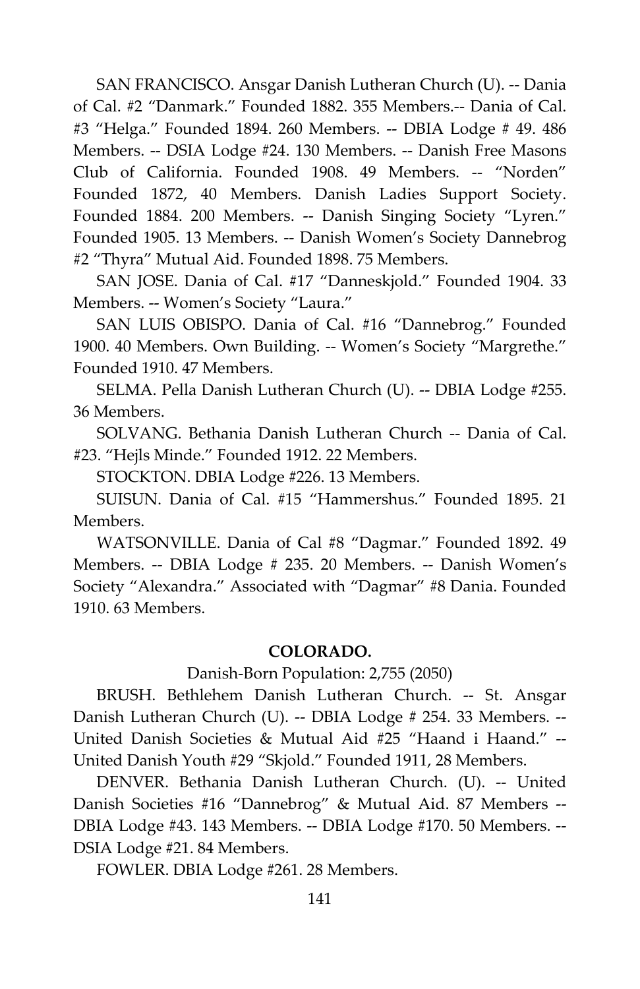SAN FRANCISCO. Ansgar Danish Lutheran Church (U). -- Dania of Cal. #2 "Danmark." Founded 1882. 355 Members.-- Dania of Cal. #3 "Helga." Founded 1894. 260 Members. -- DBIA Lodge # 49. 486 Members. -- DSIA Lodge #24. 130 Members. -- Danish Free Masons Club of California. Founded 1908. 49 Members. -- "Norden" Founded 1872, 40 Members. Danish Ladies Support Society. Founded 1884. 200 Members. -- Danish Singing Society "Lyren." Founded 1905. 13 Members. -- Danish Women's Society Dannebrog #2 "Thyra" Mutual Aid. Founded 1898. 75 Members.

SAN JOSE. Dania of Cal. #17 "Danneskjold." Founded 1904. 33 Members. -- Women's Society "Laura."

SAN LUIS OBISPO. Dania of Cal. #16 "Dannebrog." Founded 1900. 40 Members. Own Building. -- Women's Society "Margrethe." Founded 1910. 47 Members.

SELMA. Pella Danish Lutheran Church (U). -- DBIA Lodge #255. 36 Members.

SOLVANG. Bethania Danish Lutheran Church -- Dania of Cal. #23. "Hejls Minde." Founded 1912. 22 Members.

STOCKTON. DBIA Lodge #226. 13 Members.

SUISUN. Dania of Cal. #15 "Hammershus." Founded 1895. 21 Members.

WATSONVILLE. Dania of Cal #8 "Dagmar." Founded 1892. 49 Members. -- DBIA Lodge # 235. 20 Members. -- Danish Women's Society "Alexandra." Associated with "Dagmar" #8 Dania. Founded 1910. 63 Members.

# **COLORADO.**

Danish-Born Population: 2,755 (2050)

BRUSH. Bethlehem Danish Lutheran Church. -- St. Ansgar Danish Lutheran Church (U). -- DBIA Lodge # 254. 33 Members. -- United Danish Societies & Mutual Aid #25 "Haand i Haand." -- United Danish Youth #29 "Skjold." Founded 1911, 28 Members.

DENVER. Bethania Danish Lutheran Church. (U). -- United Danish Societies #16 "Dannebrog" & Mutual Aid. 87 Members -- DBIA Lodge #43. 143 Members. -- DBIA Lodge #170. 50 Members. -- DSIA Lodge #21. 84 Members.

FOWLER. DBIA Lodge #261. 28 Members.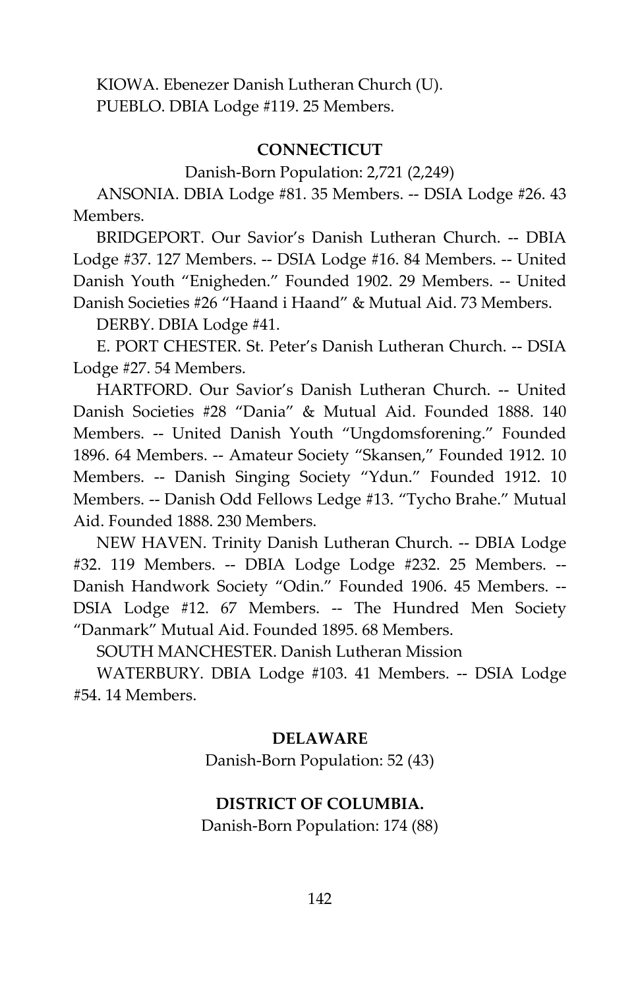KIOWA. Ebenezer Danish Lutheran Church (U). PUEBLO. DBIA Lodge #119. 25 Members.

#### **CONNECTICUT**

Danish-Born Population: 2,721 (2,249)

ANSONIA. DBIA Lodge #81. 35 Members. -- DSIA Lodge #26. 43 Members.

BRIDGEPORT. Our Savior's Danish Lutheran Church. -- DBIA Lodge #37. 127 Members. -- DSIA Lodge #16. 84 Members. -- United Danish Youth "Enigheden." Founded 1902. 29 Members. -- United Danish Societies #26 "Haand i Haand" & Mutual Aid. 73 Members.

DERBY. DBIA Lodge #41.

E. PORT CHESTER. St. Peter's Danish Lutheran Church. -- DSIA Lodge #27. 54 Members.

HARTFORD. Our Savior's Danish Lutheran Church. -- United Danish Societies #28 "Dania" & Mutual Aid. Founded 1888. 140 Members. -- United Danish Youth "Ungdomsforening." Founded 1896. 64 Members. -- Amateur Society "Skansen," Founded 1912. 10 Members. -- Danish Singing Society "Ydun." Founded 1912. 10 Members. -- Danish Odd Fellows Ledge #13. "Tycho Brahe." Mutual Aid. Founded 1888. 230 Members.

NEW HAVEN. Trinity Danish Lutheran Church. -- DBIA Lodge #32. 119 Members. -- DBIA Lodge Lodge #232. 25 Members. -- Danish Handwork Society "Odin." Founded 1906. 45 Members. -- DSIA Lodge #12. 67 Members. -- The Hundred Men Society "Danmark" Mutual Aid. Founded 1895. 68 Members.

SOUTH MANCHESTER. Danish Lutheran Mission

WATERBURY. DBIA Lodge #103. 41 Members. -- DSIA Lodge #54. 14 Members.

#### **DELAWARE**

Danish-Born Population: 52 (43)

# **DISTRICT OF COLUMBIA.**

Danish-Born Population: 174 (88)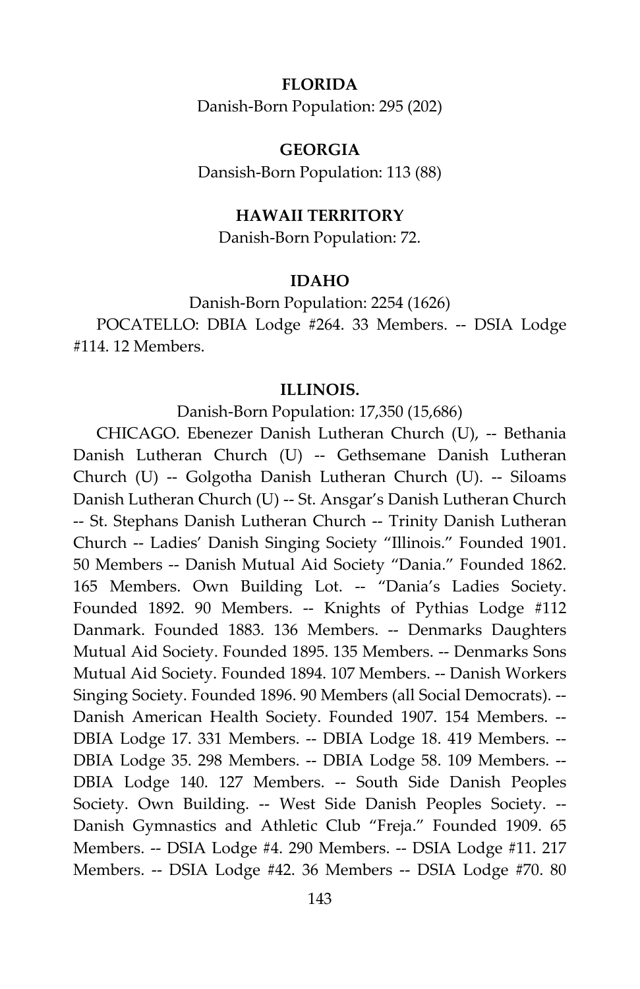# **FLORIDA**

Danish-Born Population: 295 (202)

#### **GEORGIA**

Dansish-Born Population: 113 (88)

# **HAWAII TERRITORY**

Danish-Born Population: 72.

# **IDAHO**

Danish-Born Population: 2254 (1626) POCATELLO: DBIA Lodge #264. 33 Members. -- DSIA Lodge #114. 12 Members.

#### **ILLINOIS.**

Danish-Born Population: 17,350 (15,686)

CHICAGO. Ebenezer Danish Lutheran Church (U), -- Bethania Danish Lutheran Church (U) -- Gethsemane Danish Lutheran Church (U) -- Golgotha Danish Lutheran Church (U). -- Siloams Danish Lutheran Church (U) -- St. Ansgar's Danish Lutheran Church -- St. Stephans Danish Lutheran Church -- Trinity Danish Lutheran Church -- Ladies' Danish Singing Society "Illinois." Founded 1901. 50 Members -- Danish Mutual Aid Society "Dania." Founded 1862. 165 Members. Own Building Lot. -- "Dania's Ladies Society. Founded 1892. 90 Members. -- Knights of Pythias Lodge #112 Danmark. Founded 1883. 136 Members. -- Denmarks Daughters Mutual Aid Society. Founded 1895. 135 Members. -- Denmarks Sons Mutual Aid Society. Founded 1894. 107 Members. -- Danish Workers Singing Society. Founded 1896. 90 Members (all Social Democrats). -- Danish American Health Society. Founded 1907. 154 Members. -- DBIA Lodge 17. 331 Members. -- DBIA Lodge 18. 419 Members. -- DBIA Lodge 35. 298 Members. -- DBIA Lodge 58. 109 Members. -- DBIA Lodge 140. 127 Members. -- South Side Danish Peoples Society. Own Building. -- West Side Danish Peoples Society. -- Danish Gymnastics and Athletic Club "Freja." Founded 1909. 65 Members. -- DSIA Lodge #4. 290 Members. -- DSIA Lodge #11. 217 Members. -- DSIA Lodge #42. 36 Members -- DSIA Lodge #70. 80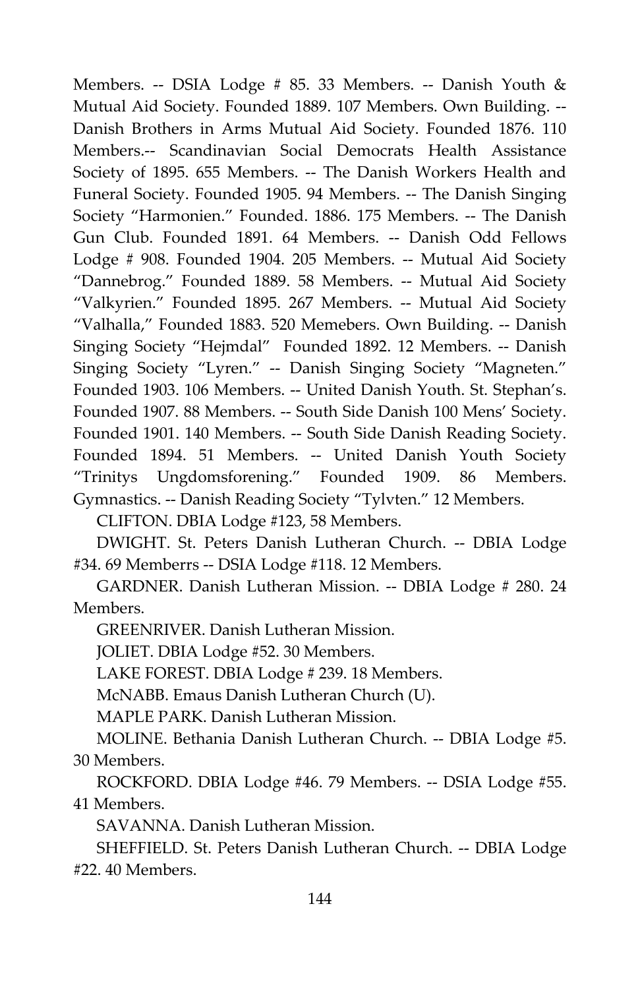Members. -- DSIA Lodge # 85. 33 Members. -- Danish Youth & Mutual Aid Society. Founded 1889. 107 Members. Own Building. -- Danish Brothers in Arms Mutual Aid Society. Founded 1876. 110 Members.-- Scandinavian Social Democrats Health Assistance Society of 1895. 655 Members. -- The Danish Workers Health and Funeral Society. Founded 1905. 94 Members. -- The Danish Singing Society "Harmonien." Founded. 1886. 175 Members. -- The Danish Gun Club. Founded 1891. 64 Members. -- Danish Odd Fellows Lodge # 908. Founded 1904. 205 Members. -- Mutual Aid Society "Dannebrog." Founded 1889. 58 Members. -- Mutual Aid Society "Valkyrien." Founded 1895. 267 Members. -- Mutual Aid Society "Valhalla," Founded 1883. 520 Memebers. Own Building. -- Danish Singing Society "Hejmdal" Founded 1892. 12 Members. -- Danish Singing Society "Lyren." -- Danish Singing Society "Magneten." Founded 1903. 106 Members. -- United Danish Youth. St. Stephan's. Founded 1907. 88 Members. -- South Side Danish 100 Mens' Society. Founded 1901. 140 Members. -- South Side Danish Reading Society. Founded 1894. 51 Members. -- United Danish Youth Society "Trinitys Ungdomsforening." Founded 1909. 86 Members. Gymnastics. -- Danish Reading Society "Tylvten." 12 Members.

CLIFTON. DBIA Lodge #123, 58 Members.

DWIGHT. St. Peters Danish Lutheran Church. -- DBIA Lodge #34. 69 Memberrs -- DSIA Lodge #118. 12 Members.

GARDNER. Danish Lutheran Mission. -- DBIA Lodge # 280. 24 Members.

GREENRIVER. Danish Lutheran Mission.

JOLIET. DBIA Lodge #52. 30 Members.

LAKE FOREST. DBIA Lodge # 239. 18 Members.

McNABB. Emaus Danish Lutheran Church (U).

MAPLE PARK. Danish Lutheran Mission.

MOLINE. Bethania Danish Lutheran Church. -- DBIA Lodge #5. 30 Members.

ROCKFORD. DBIA Lodge #46. 79 Members. -- DSIA Lodge #55. 41 Members.

SAVANNA. Danish Lutheran Mission.

SHEFFIELD. St. Peters Danish Lutheran Church. -- DBIA Lodge #22. 40 Members.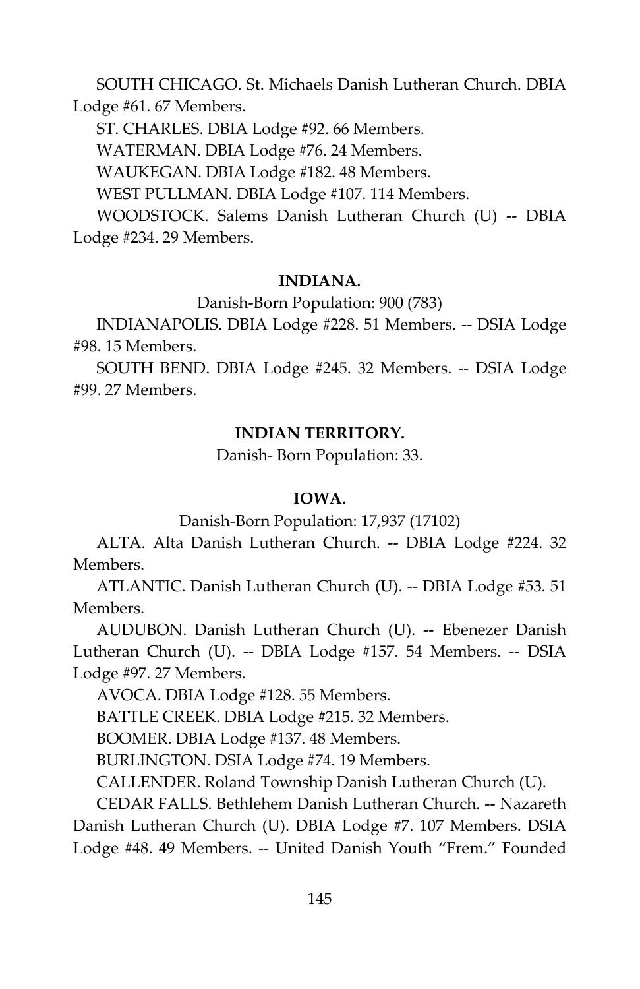SOUTH CHICAGO. St. Michaels Danish Lutheran Church. DBIA Lodge #61. 67 Members.

ST. CHARLES. DBIA Lodge #92. 66 Members.

WATERMAN. DBIA Lodge #76. 24 Members.

WAUKEGAN. DBIA Lodge #182. 48 Members.

WEST PULLMAN. DBIA Lodge #107. 114 Members.

WOODSTOCK. Salems Danish Lutheran Church (U) -- DBIA Lodge #234. 29 Members.

# **INDIANA.**

Danish-Born Population: 900 (783)

INDIANAPOLIS. DBIA Lodge #228. 51 Members. -- DSIA Lodge #98. 15 Members.

SOUTH BEND. DBIA Lodge #245. 32 Members. -- DSIA Lodge #99. 27 Members.

# **INDIAN TERRITORY.**

Danish- Born Population: 33.

# **IOWA.**

Danish-Born Population: 17,937 (17102)

ALTA. Alta Danish Lutheran Church. -- DBIA Lodge #224. 32 Members.

ATLANTIC. Danish Lutheran Church (U). -- DBIA Lodge #53. 51 Members.

AUDUBON. Danish Lutheran Church (U). -- Ebenezer Danish Lutheran Church (U). -- DBIA Lodge #157. 54 Members. -- DSIA Lodge #97. 27 Members.

AVOCA. DBIA Lodge #128. 55 Members.

BATTLE CREEK. DBIA Lodge #215. 32 Members.

BOOMER. DBIA Lodge #137. 48 Members.

BURLINGTON. DSIA Lodge #74. 19 Members.

CALLENDER. Roland Township Danish Lutheran Church (U).

CEDAR FALLS. Bethlehem Danish Lutheran Church. -- Nazareth Danish Lutheran Church (U). DBIA Lodge #7. 107 Members. DSIA Lodge #48. 49 Members. -- United Danish Youth "Frem." Founded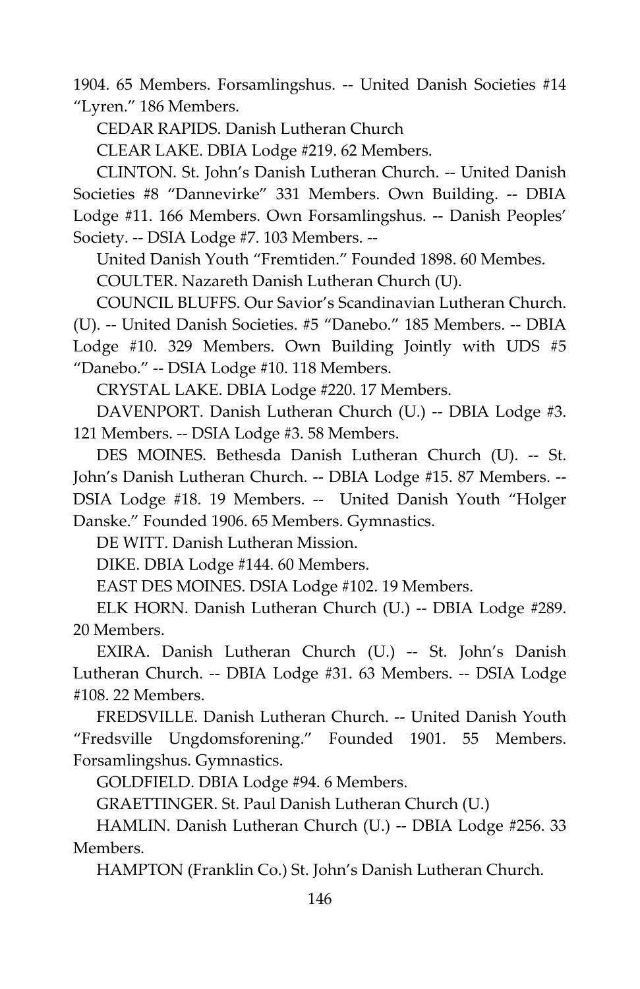1904. 65 Members. Forsamlingshus. -- United Danish Societies #14 "Lyren." 186 Members.

CEDAR RAPIDS. Danish Lutheran Church

CLEAR LAKE. DBIA Lodge #219. 62 Members.

CLINTON. St. John's Danish Lutheran Church. -- United Danish Societies #8 "Dannevirke" 331 Members. Own Building. -- DBIA Lodge #11. 166 Members. Own Forsamlingshus. -- Danish Peoples' Society. -- DSIA Lodge #7. 103 Members. --

United Danish Youth "Fremtiden." Founded 1898. 60 Membes.

COULTER. Nazareth Danish Lutheran Church (U).

COUNCIL BLUFFS. Our Savior's Scandinavian Lutheran Church. (U). -- United Danish Societies. #5 "Danebo." 185 Members. -- DBIA Lodge #10. 329 Members. Own Building Jointly with UDS #5 "Danebo." -- DSIA Lodge #10. 118 Members.

CRYSTAL LAKE. DBIA Lodge #220. 17 Members.

DAVENPORT. Danish Lutheran Church (U.) -- DBIA Lodge #3. 121 Members. -- DSIA Lodge #3. 58 Members.

DES MOINES. Bethesda Danish Lutheran Church (U). -- St. John's Danish Lutheran Church. -- DBIA Lodge #15. 87 Members. -- DSIA Lodge #18. 19 Members. -- United Danish Youth "Holger Danske." Founded 1906. 65 Members. Gymnastics.

DE WITT. Danish Lutheran Mission.

DIKE. DBIA Lodge #144. 60 Members.

EAST DES MOINES. DSIA Lodge #102. 19 Members.

ELK HORN. Danish Lutheran Church (U.) -- DBIA Lodge #289. 20 Members.

EXIRA. Danish Lutheran Church (U.) -- St. John's Danish Lutheran Church. -- DBIA Lodge #31. 63 Members. -- DSIA Lodge #108. 22 Members.

FREDSVILLE. Danish Lutheran Church. -- United Danish Youth "Fredsville Ungdomsforening." Founded 1901. 55 Members. Forsamlingshus. Gymnastics.

GOLDFIELD. DBIA Lodge #94. 6 Members.

GRAETTINGER. St. Paul Danish Lutheran Church (U.)

HAMLIN. Danish Lutheran Church (U.) -- DBIA Lodge #256. 33 Members.

HAMPTON (Franklin Co.) St. John's Danish Lutheran Church.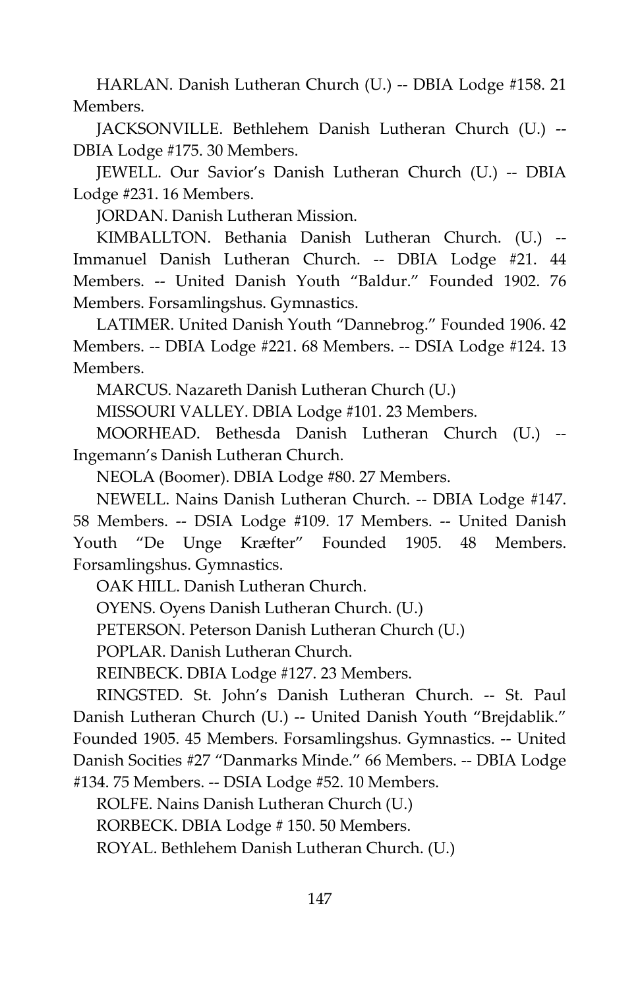HARLAN. Danish Lutheran Church (U.) -- DBIA Lodge #158. 21 Members.

JACKSONVILLE. Bethlehem Danish Lutheran Church (U.) -- DBIA Lodge #175. 30 Members.

JEWELL. Our Savior's Danish Lutheran Church (U.) -- DBIA Lodge #231. 16 Members.

JORDAN. Danish Lutheran Mission.

KIMBALLTON. Bethania Danish Lutheran Church. (U.) -- Immanuel Danish Lutheran Church. -- DBIA Lodge #21. 44 Members. -- United Danish Youth "Baldur." Founded 1902. 76 Members. Forsamlingshus. Gymnastics.

LATIMER. United Danish Youth "Dannebrog." Founded 1906. 42 Members. -- DBIA Lodge #221. 68 Members. -- DSIA Lodge #124. 13 Members.

MARCUS. Nazareth Danish Lutheran Church (U.)

MISSOURI VALLEY. DBIA Lodge #101. 23 Members.

MOORHEAD. Bethesda Danish Lutheran Church (U.) -- Ingemann's Danish Lutheran Church.

NEOLA (Boomer). DBIA Lodge #80. 27 Members.

NEWELL. Nains Danish Lutheran Church. -- DBIA Lodge #147. 58 Members. -- DSIA Lodge #109. 17 Members. -- United Danish Youth "De Unge Kræfter" Founded 1905. 48 Members. Forsamlingshus. Gymnastics.

OAK HILL. Danish Lutheran Church.

OYENS. Oyens Danish Lutheran Church. (U.)

PETERSON. Peterson Danish Lutheran Church (U.)

POPLAR. Danish Lutheran Church.

REINBECK. DBIA Lodge #127. 23 Members.

RINGSTED. St. John's Danish Lutheran Church. -- St. Paul Danish Lutheran Church (U.) -- United Danish Youth "Brejdablik." Founded 1905. 45 Members. Forsamlingshus. Gymnastics. -- United Danish Socities #27 "Danmarks Minde." 66 Members. -- DBIA Lodge

#134. 75 Members. -- DSIA Lodge #52. 10 Members.

ROLFE. Nains Danish Lutheran Church (U.)

RORBECK. DBIA Lodge # 150. 50 Members.

ROYAL. Bethlehem Danish Lutheran Church. (U.)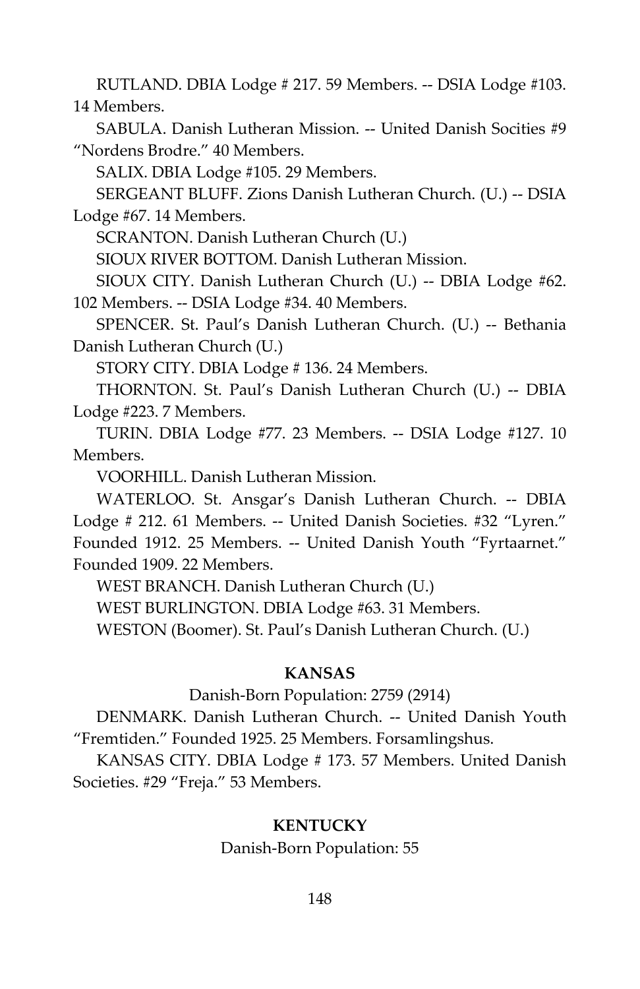RUTLAND. DBIA Lodge # 217. 59 Members. -- DSIA Lodge #103. 14 Members.

SABULA. Danish Lutheran Mission. -- United Danish Socities #9 "Nordens Brodre." 40 Members.

SALIX. DBIA Lodge #105. 29 Members.

SERGEANT BLUFF. Zions Danish Lutheran Church. (U.) -- DSIA Lodge #67. 14 Members.

SCRANTON. Danish Lutheran Church (U.)

SIOUX RIVER BOTTOM. Danish Lutheran Mission.

SIOUX CITY. Danish Lutheran Church (U.) -- DBIA Lodge #62. 102 Members. -- DSIA Lodge #34. 40 Members.

SPENCER. St. Paul's Danish Lutheran Church. (U.) -- Bethania Danish Lutheran Church (U.)

STORY CITY. DBIA Lodge # 136. 24 Members.

THORNTON. St. Paul's Danish Lutheran Church (U.) -- DBIA Lodge #223. 7 Members.

TURIN. DBIA Lodge #77. 23 Members. -- DSIA Lodge #127. 10 Members.

VOORHILL. Danish Lutheran Mission.

WATERLOO. St. Ansgar's Danish Lutheran Church. -- DBIA Lodge # 212. 61 Members. -- United Danish Societies. #32 "Lyren." Founded 1912. 25 Members. -- United Danish Youth "Fyrtaarnet." Founded 1909. 22 Members.

WEST BRANCH. Danish Lutheran Church (U.)

WEST BURLINGTON. DBIA Lodge #63. 31 Members.

WESTON (Boomer). St. Paul's Danish Lutheran Church. (U.)

# **KANSAS**

Danish-Born Population: 2759 (2914)

DENMARK. Danish Lutheran Church. -- United Danish Youth "Fremtiden." Founded 1925. 25 Members. Forsamlingshus.

KANSAS CITY. DBIA Lodge # 173. 57 Members. United Danish Societies. #29 "Freja." 53 Members.

# **KENTUCKY**

Danish-Born Population: 55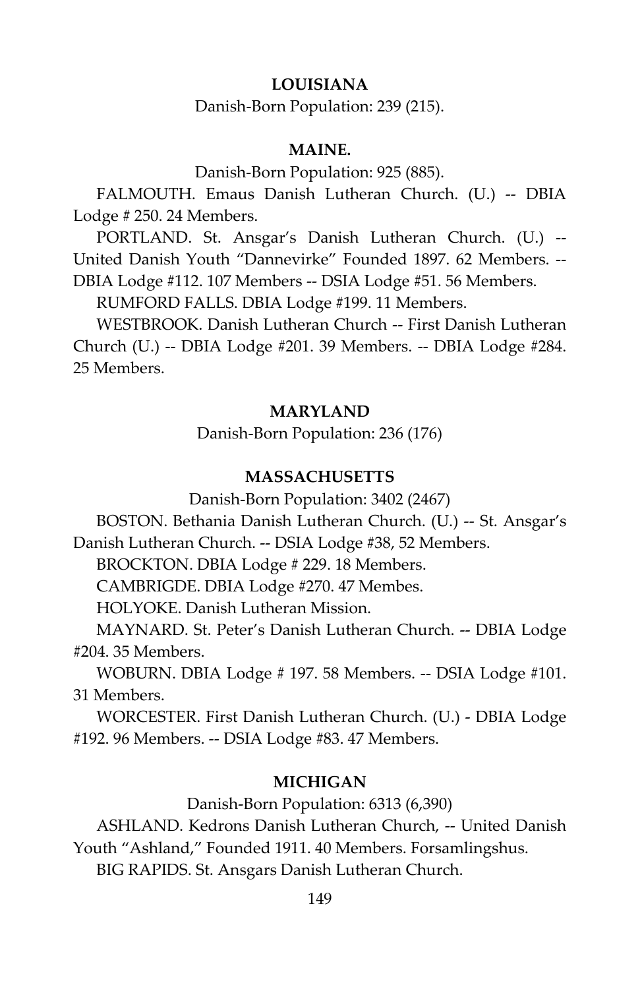# **LOUISIANA**

Danish-Born Population: 239 (215).

# **MAINE.**

Danish-Born Population: 925 (885).

FALMOUTH. Emaus Danish Lutheran Church. (U.) -- DBIA Lodge # 250. 24 Members.

PORTLAND. St. Ansgar's Danish Lutheran Church. (U.) -- United Danish Youth "Dannevirke" Founded 1897. 62 Members. -- DBIA Lodge #112. 107 Members -- DSIA Lodge #51. 56 Members.

RUMFORD FALLS. DBIA Lodge #199. 11 Members.

WESTBROOK. Danish Lutheran Church -- First Danish Lutheran Church (U.) -- DBIA Lodge #201. 39 Members. -- DBIA Lodge #284. 25 Members.

#### **MARYLAND**

Danish-Born Population: 236 (176)

#### **MASSACHUSETTS**

Danish-Born Population: 3402 (2467)

BOSTON. Bethania Danish Lutheran Church. (U.) -- St. Ansgar's Danish Lutheran Church. -- DSIA Lodge #38, 52 Members.

BROCKTON. DBIA Lodge # 229. 18 Members.

CAMBRIGDE. DBIA Lodge #270. 47 Membes.

HOLYOKE. Danish Lutheran Mission.

MAYNARD. St. Peter's Danish Lutheran Church. -- DBIA Lodge #204. 35 Members.

WOBURN. DBIA Lodge # 197. 58 Members. -- DSIA Lodge #101. 31 Members.

WORCESTER. First Danish Lutheran Church. (U.) - DBIA Lodge #192. 96 Members. -- DSIA Lodge #83. 47 Members.

# **MICHIGAN**

Danish-Born Population: 6313 (6,390)

ASHLAND. Kedrons Danish Lutheran Church, -- United Danish Youth "Ashland," Founded 1911. 40 Members. Forsamlingshus.

BIG RAPIDS. St. Ansgars Danish Lutheran Church.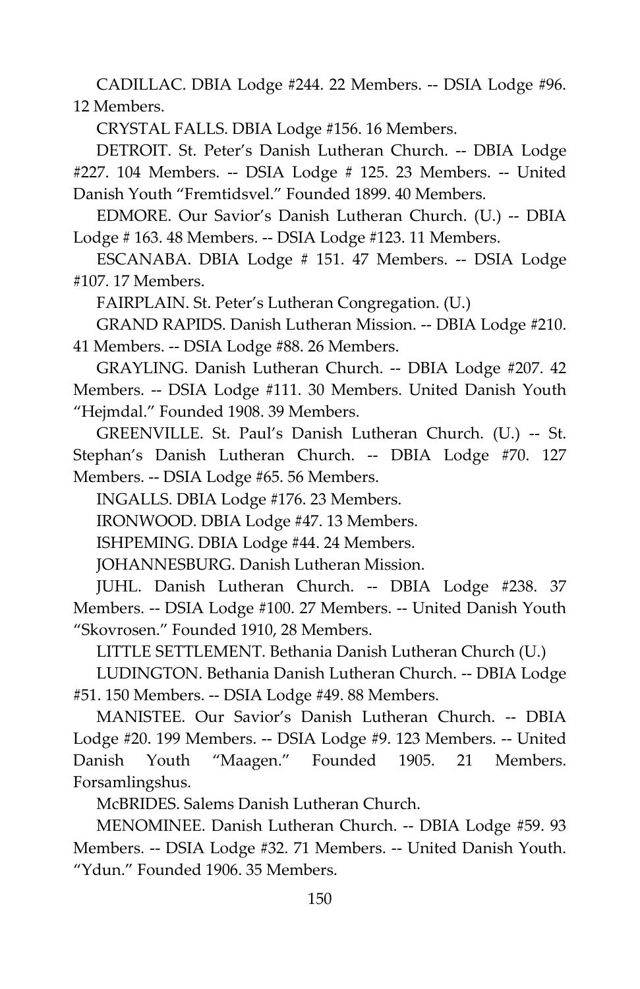CADILLAC. DBIA Lodge #244. 22 Members. -- DSIA Lodge #96. 12 Members.

CRYSTAL FALLS. DBIA Lodge #156. 16 Members.

DETROIT. St. Peter's Danish Lutheran Church. -- DBIA Lodge #227. 104 Members. -- DSIA Lodge # 125. 23 Members. -- United Danish Youth "Fremtidsvel." Founded 1899. 40 Members.

EDMORE. Our Savior's Danish Lutheran Church. (U.) -- DBIA Lodge # 163. 48 Members. -- DSIA Lodge #123. 11 Members.

ESCANABA. DBIA Lodge # 151. 47 Members. -- DSIA Lodge #107. 17 Members.

FAIRPLAIN. St. Peter's Lutheran Congregation. (U.)

GRAND RAPIDS. Danish Lutheran Mission. -- DBIA Lodge #210. 41 Members. -- DSIA Lodge #88. 26 Members.

GRAYLING. Danish Lutheran Church. -- DBIA Lodge #207. 42 Members. -- DSIA Lodge #111. 30 Members. United Danish Youth "Hejmdal." Founded 1908. 39 Members.

GREENVILLE. St. Paul's Danish Lutheran Church. (U.) -- St. Stephan's Danish Lutheran Church. -- DBIA Lodge #70. 127 Members. -- DSIA Lodge #65. 56 Members.

INGALLS. DBIA Lodge #176. 23 Members.

IRONWOOD. DBIA Lodge #47. 13 Members.

ISHPEMING. DBIA Lodge #44. 24 Members.

JOHANNESBURG. Danish Lutheran Mission.

JUHL. Danish Lutheran Church. -- DBIA Lodge #238. 37 Members. -- DSIA Lodge #100. 27 Members. -- United Danish Youth "Skovrosen." Founded 1910, 28 Members.

LITTLE SETTLEMENT. Bethania Danish Lutheran Church (U.)

LUDINGTON. Bethania Danish Lutheran Church. -- DBIA Lodge #51. 150 Members. -- DSIA Lodge #49. 88 Members.

MANISTEE. Our Savior's Danish Lutheran Church. -- DBIA Lodge #20. 199 Members. -- DSIA Lodge #9. 123 Members. -- United Danish Youth "Maagen." Founded 1905. 21 Members. Forsamlingshus.

McBRIDES. Salems Danish Lutheran Church.

MENOMINEE. Danish Lutheran Church. -- DBIA Lodge #59. 93 Members. -- DSIA Lodge #32. 71 Members. -- United Danish Youth. "Ydun." Founded 1906. 35 Members.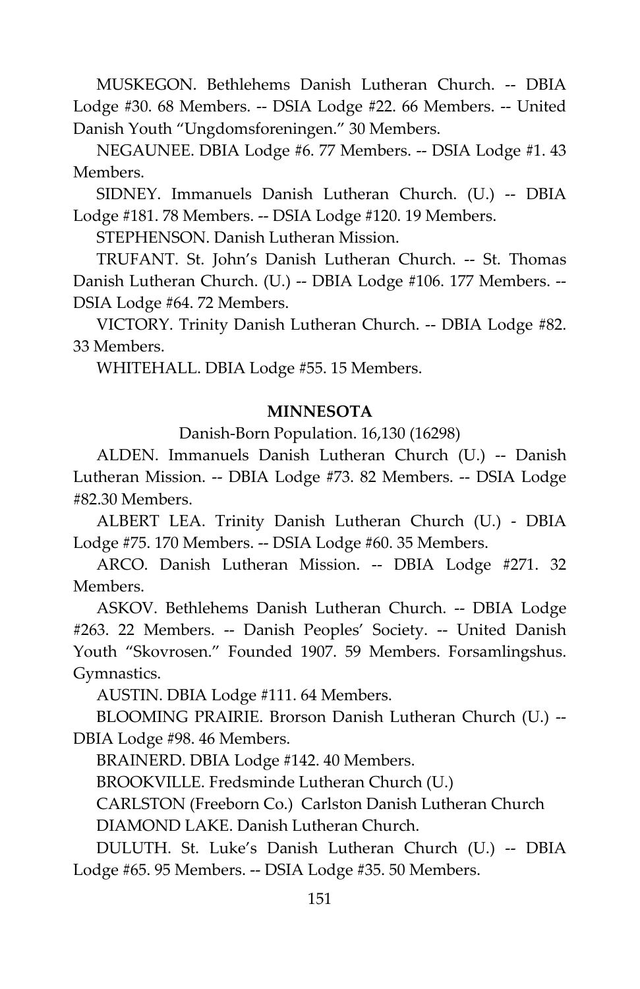MUSKEGON. Bethlehems Danish Lutheran Church. -- DBIA Lodge #30. 68 Members. -- DSIA Lodge #22. 66 Members. -- United Danish Youth "Ungdomsforeningen." 30 Members.

NEGAUNEE. DBIA Lodge #6. 77 Members. -- DSIA Lodge #1. 43 Members.

SIDNEY. Immanuels Danish Lutheran Church. (U.) -- DBIA Lodge #181. 78 Members. -- DSIA Lodge #120. 19 Members.

STEPHENSON. Danish Lutheran Mission.

TRUFANT. St. John's Danish Lutheran Church. -- St. Thomas Danish Lutheran Church. (U.) -- DBIA Lodge #106. 177 Members. -- DSIA Lodge #64. 72 Members.

VICTORY. Trinity Danish Lutheran Church. -- DBIA Lodge #82. 33 Members.

WHITEHALL. DBIA Lodge #55. 15 Members.

# **MINNESOTA**

Danish-Born Population. 16,130 (16298)

ALDEN. Immanuels Danish Lutheran Church (U.) -- Danish Lutheran Mission. -- DBIA Lodge #73. 82 Members. -- DSIA Lodge #82.30 Members.

ALBERT LEA. Trinity Danish Lutheran Church (U.) - DBIA Lodge #75. 170 Members. -- DSIA Lodge #60. 35 Members.

ARCO. Danish Lutheran Mission. -- DBIA Lodge #271. 32 Members.

ASKOV. Bethlehems Danish Lutheran Church. -- DBIA Lodge #263. 22 Members. -- Danish Peoples' Society. -- United Danish Youth "Skovrosen." Founded 1907. 59 Members. Forsamlingshus. Gymnastics.

AUSTIN. DBIA Lodge #111. 64 Members.

BLOOMING PRAIRIE. Brorson Danish Lutheran Church (U.) -- DBIA Lodge #98. 46 Members.

BRAINERD. DBIA Lodge #142. 40 Members.

BROOKVILLE. Fredsminde Lutheran Church (U.)

CARLSTON (Freeborn Co.) Carlston Danish Lutheran Church DIAMOND LAKE. Danish Lutheran Church.

DULUTH. St. Luke's Danish Lutheran Church (U.) -- DBIA Lodge #65. 95 Members. -- DSIA Lodge #35. 50 Members.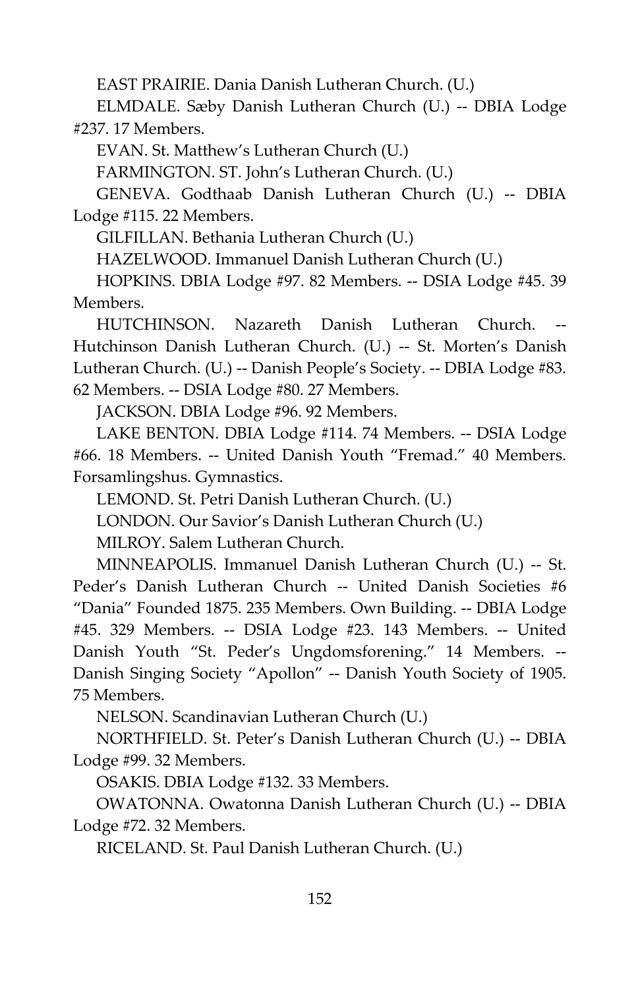EAST PRAIRIE. Dania Danish Lutheran Church. (U.)

ELMDALE. Sæby Danish Lutheran Church (U.) -- DBIA Lodge #237. 17 Members.

EVAN. St. Matthew's Lutheran Church (U.)

FARMINGTON. ST. John's Lutheran Church. (U.)

GENEVA. Godthaab Danish Lutheran Church (U.) -- DBIA Lodge #115. 22 Members.

GILFILLAN. Bethania Lutheran Church (U.)

HAZELWOOD. Immanuel Danish Lutheran Church (U.)

HOPKINS. DBIA Lodge #97. 82 Members. -- DSIA Lodge #45. 39 Members.

HUTCHINSON. Nazareth Danish Lutheran Church. Hutchinson Danish Lutheran Church. (U.) -- St. Morten's Danish Lutheran Church. (U.) -- Danish People's Society. -- DBIA Lodge #83. 62 Members. -- DSIA Lodge #80. 27 Members.

JACKSON. DBIA Lodge #96. 92 Members.

LAKE BENTON. DBIA Lodge #114. 74 Members. -- DSIA Lodge #66. 18 Members. -- United Danish Youth "Fremad." 40 Members. Forsamlingshus. Gymnastics.

LEMOND. St. Petri Danish Lutheran Church. (U.)

LONDON. Our Savior's Danish Lutheran Church (U.)

MILROY. Salem Lutheran Church.

MINNEAPOLIS. Immanuel Danish Lutheran Church (U.) -- St. Peder's Danish Lutheran Church -- United Danish Societies #6 "Dania" Founded 1875. 235 Members. Own Building. -- DBIA Lodge #45. 329 Members. -- DSIA Lodge #23. 143 Members. -- United Danish Youth "St. Peder's Ungdomsforening." 14 Members. -- Danish Singing Society "Apollon" -- Danish Youth Society of 1905. 75 Members.

NELSON. Scandinavian Lutheran Church (U.)

NORTHFIELD. St. Peter's Danish Lutheran Church (U.) -- DBIA Lodge #99. 32 Members.

OSAKIS. DBIA Lodge #132. 33 Members.

OWATONNA. Owatonna Danish Lutheran Church (U.) -- DBIA Lodge #72. 32 Members.

RICELAND. St. Paul Danish Lutheran Church. (U.)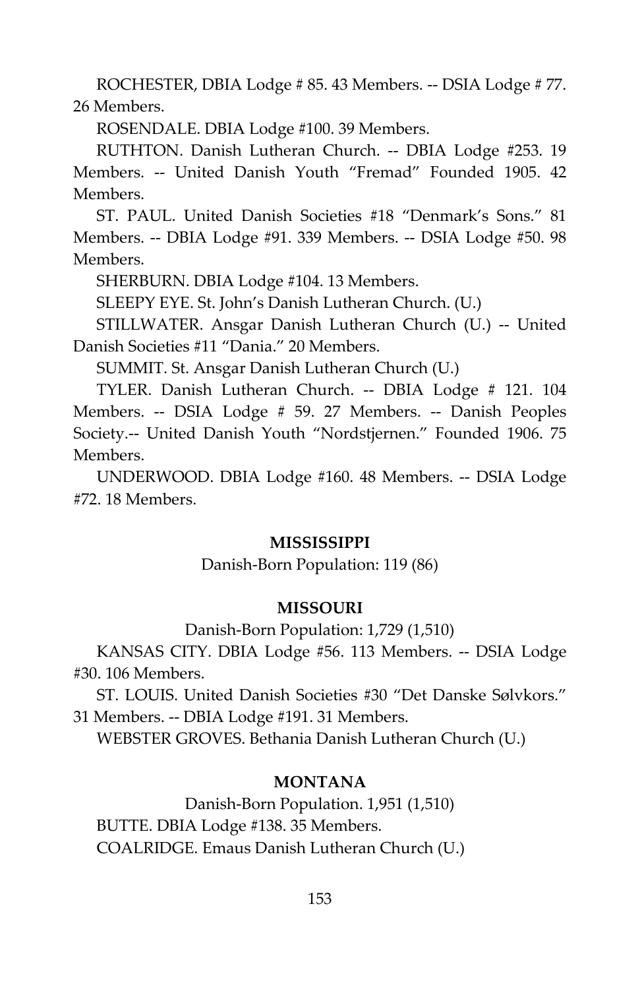ROCHESTER, DBIA Lodge # 85. 43 Members. -- DSIA Lodge # 77. 26 Members.

ROSENDALE. DBIA Lodge #100. 39 Members.

RUTHTON. Danish Lutheran Church. -- DBIA Lodge #253. 19 Members. -- United Danish Youth "Fremad" Founded 1905. 42 Members.

ST. PAUL. United Danish Societies #18 "Denmark's Sons." 81 Members. -- DBIA Lodge #91. 339 Members. -- DSIA Lodge #50. 98 Members.

SHERBURN. DBIA Lodge #104. 13 Members.

SLEEPY EYE. St. John's Danish Lutheran Church. (U.)

STILLWATER. Ansgar Danish Lutheran Church (U.) -- United Danish Societies #11 "Dania." 20 Members.

SUMMIT. St. Ansgar Danish Lutheran Church (U.)

TYLER. Danish Lutheran Church. -- DBIA Lodge # 121. 104 Members. -- DSIA Lodge # 59. 27 Members. -- Danish Peoples Society.-- United Danish Youth "Nordstjernen." Founded 1906. 75 Members.

UNDERWOOD. DBIA Lodge #160. 48 Members. -- DSIA Lodge #72. 18 Members.

#### **MISSISSIPPI**

Danish-Born Population: 119 (86)

#### **MISSOURI**

Danish-Born Population: 1,729 (1,510)

KANSAS CITY. DBIA Lodge #56. 113 Members. -- DSIA Lodge #30. 106 Members.

ST. LOUIS. United Danish Societies #30 "Det Danske Sølvkors." 31 Members. -- DBIA Lodge #191. 31 Members.

WEBSTER GROVES. Bethania Danish Lutheran Church (U.)

# **MONTANA**

Danish-Born Population. 1,951 (1,510) BUTTE. DBIA Lodge #138. 35 Members. COALRIDGE. Emaus Danish Lutheran Church (U.)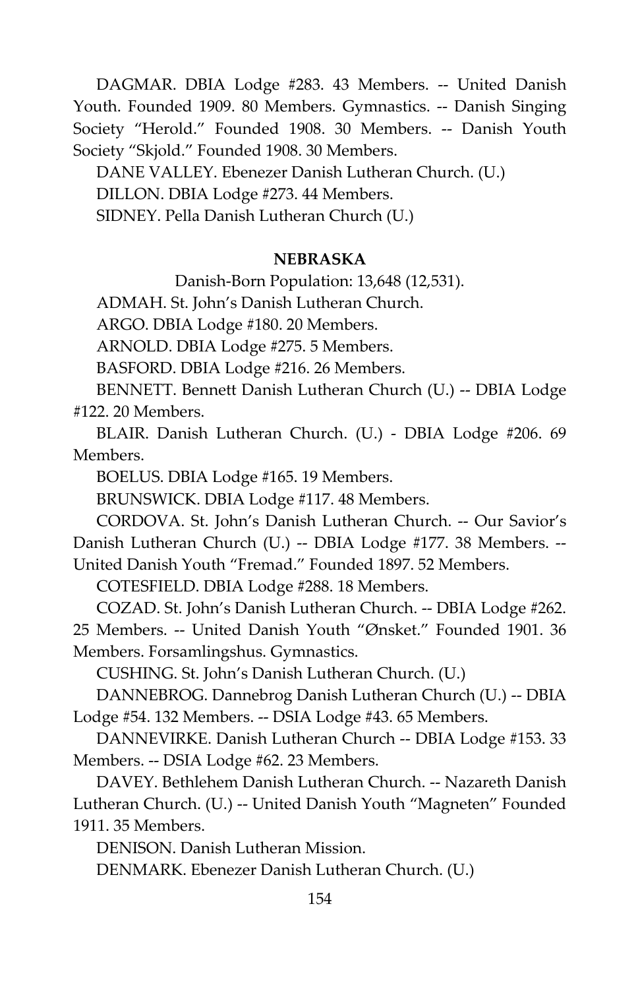DAGMAR. DBIA Lodge #283. 43 Members. -- United Danish Youth. Founded 1909. 80 Members. Gymnastics. -- Danish Singing Society "Herold." Founded 1908. 30 Members. -- Danish Youth Society "Skjold." Founded 1908. 30 Members.

DANE VALLEY. Ebenezer Danish Lutheran Church. (U.) DILLON. DBIA Lodge #273. 44 Members. SIDNEY. Pella Danish Lutheran Church (U.)

## **NEBRASKA**

Danish-Born Population: 13,648 (12,531).

ADMAH. St. John's Danish Lutheran Church.

ARGO. DBIA Lodge #180. 20 Members.

ARNOLD. DBIA Lodge #275. 5 Members.

BASFORD. DBIA Lodge #216. 26 Members.

BENNETT. Bennett Danish Lutheran Church (U.) -- DBIA Lodge #122. 20 Members.

BLAIR. Danish Lutheran Church. (U.) - DBIA Lodge #206. 69 Members.

BOELUS. DBIA Lodge #165. 19 Members.

BRUNSWICK. DBIA Lodge #117. 48 Members.

CORDOVA. St. John's Danish Lutheran Church. -- Our Savior's Danish Lutheran Church (U.) -- DBIA Lodge #177. 38 Members. -- United Danish Youth "Fremad." Founded 1897. 52 Members.

COTESFIELD. DBIA Lodge #288. 18 Members.

COZAD. St. John's Danish Lutheran Church. -- DBIA Lodge #262. 25 Members. -- United Danish Youth "Ønsket." Founded 1901. 36 Members. Forsamlingshus. Gymnastics.

CUSHING. St. John's Danish Lutheran Church. (U.)

DANNEBROG. Dannebrog Danish Lutheran Church (U.) -- DBIA Lodge #54. 132 Members. -- DSIA Lodge #43. 65 Members.

DANNEVIRKE. Danish Lutheran Church -- DBIA Lodge #153. 33 Members. -- DSIA Lodge #62. 23 Members.

DAVEY. Bethlehem Danish Lutheran Church. -- Nazareth Danish Lutheran Church. (U.) -- United Danish Youth "Magneten" Founded 1911. 35 Members.

DENISON. Danish Lutheran Mission.

DENMARK. Ebenezer Danish Lutheran Church. (U.)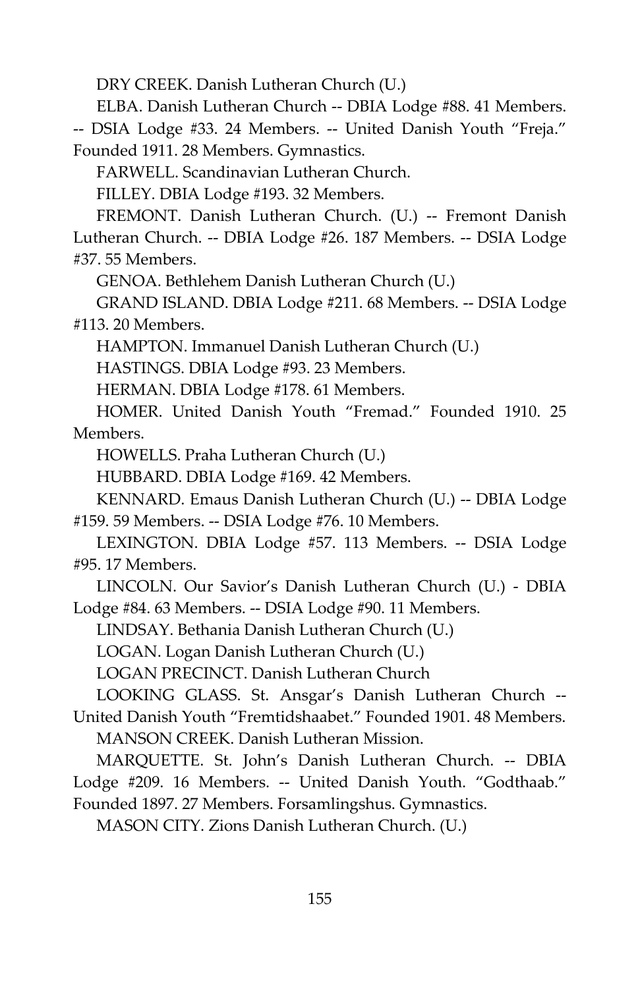DRY CREEK. Danish Lutheran Church (U.)

ELBA. Danish Lutheran Church -- DBIA Lodge #88. 41 Members.

-- DSIA Lodge #33. 24 Members. -- United Danish Youth "Freja." Founded 1911. 28 Members. Gymnastics.

FARWELL. Scandinavian Lutheran Church.

FILLEY. DBIA Lodge #193. 32 Members.

FREMONT. Danish Lutheran Church. (U.) -- Fremont Danish Lutheran Church. -- DBIA Lodge #26. 187 Members. -- DSIA Lodge #37. 55 Members.

GENOA. Bethlehem Danish Lutheran Church (U.)

GRAND ISLAND. DBIA Lodge #211. 68 Members. -- DSIA Lodge #113. 20 Members.

HAMPTON. Immanuel Danish Lutheran Church (U.)

HASTINGS. DBIA Lodge #93. 23 Members.

HERMAN. DBIA Lodge #178. 61 Members.

HOMER. United Danish Youth "Fremad." Founded 1910. 25 Members.

HOWELLS. Praha Lutheran Church (U.)

HUBBARD. DBIA Lodge #169. 42 Members.

KENNARD. Emaus Danish Lutheran Church (U.) -- DBIA Lodge #159. 59 Members. -- DSIA Lodge #76. 10 Members.

LEXINGTON. DBIA Lodge #57. 113 Members. -- DSIA Lodge #95. 17 Members.

LINCOLN. Our Savior's Danish Lutheran Church (U.) - DBIA Lodge #84. 63 Members. -- DSIA Lodge #90. 11 Members.

LINDSAY. Bethania Danish Lutheran Church (U.)

LOGAN. Logan Danish Lutheran Church (U.)

LOGAN PRECINCT. Danish Lutheran Church

LOOKING GLASS. St. Ansgar's Danish Lutheran Church -- United Danish Youth "Fremtidshaabet." Founded 1901. 48 Members.

MANSON CREEK. Danish Lutheran Mission.

MARQUETTE. St. John's Danish Lutheran Church. -- DBIA Lodge #209. 16 Members. -- United Danish Youth. "Godthaab." Founded 1897. 27 Members. Forsamlingshus. Gymnastics.

MASON CITY. Zions Danish Lutheran Church. (U.)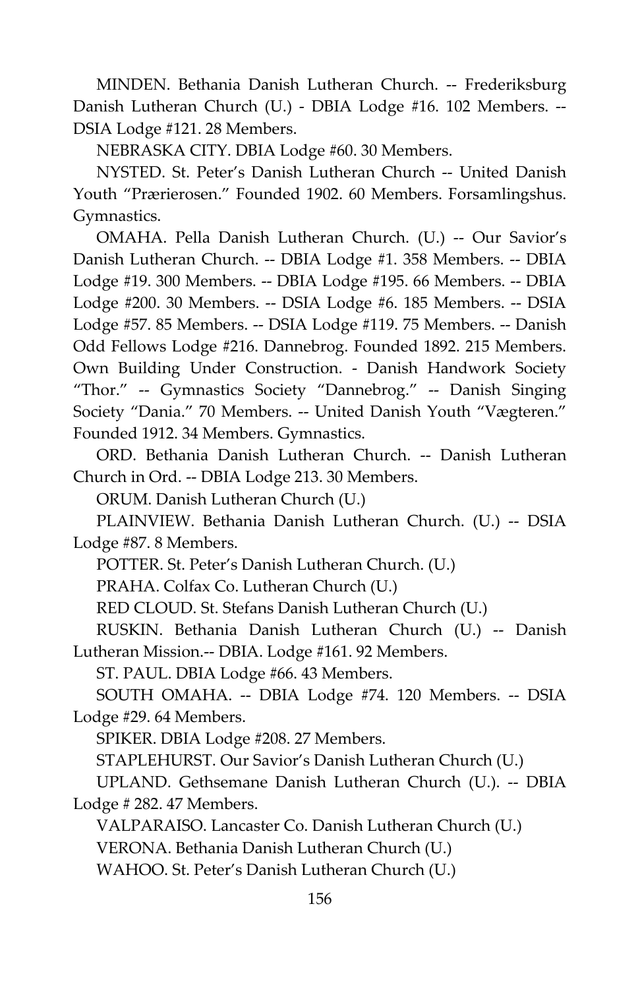MINDEN. Bethania Danish Lutheran Church. -- Frederiksburg Danish Lutheran Church (U.) - DBIA Lodge #16. 102 Members. -- DSIA Lodge #121. 28 Members.

NEBRASKA CITY. DBIA Lodge #60. 30 Members.

NYSTED. St. Peter's Danish Lutheran Church -- United Danish Youth "Prærierosen." Founded 1902. 60 Members. Forsamlingshus. Gymnastics.

OMAHA. Pella Danish Lutheran Church. (U.) -- Our Savior's Danish Lutheran Church. -- DBIA Lodge #1. 358 Members. -- DBIA Lodge #19. 300 Members. -- DBIA Lodge #195. 66 Members. -- DBIA Lodge #200. 30 Members. -- DSIA Lodge #6. 185 Members. -- DSIA Lodge #57. 85 Members. -- DSIA Lodge #119. 75 Members. -- Danish Odd Fellows Lodge #216. Dannebrog. Founded 1892. 215 Members. Own Building Under Construction. - Danish Handwork Society "Thor." -- Gymnastics Society "Dannebrog." -- Danish Singing Society "Dania." 70 Members. -- United Danish Youth "Vægteren." Founded 1912. 34 Members. Gymnastics.

ORD. Bethania Danish Lutheran Church. -- Danish Lutheran Church in Ord. -- DBIA Lodge 213. 30 Members.

ORUM. Danish Lutheran Church (U.)

PLAINVIEW. Bethania Danish Lutheran Church. (U.) -- DSIA Lodge #87. 8 Members.

POTTER. St. Peter's Danish Lutheran Church. (U.)

PRAHA. Colfax Co. Lutheran Church (U.)

RED CLOUD. St. Stefans Danish Lutheran Church (U.)

RUSKIN. Bethania Danish Lutheran Church (U.) -- Danish Lutheran Mission.-- DBIA. Lodge #161. 92 Members.

ST. PAUL. DBIA Lodge #66. 43 Members.

SOUTH OMAHA. -- DBIA Lodge #74. 120 Members. -- DSIA Lodge #29. 64 Members.

SPIKER. DBIA Lodge #208. 27 Members.

STAPLEHURST. Our Savior's Danish Lutheran Church (U.)

UPLAND. Gethsemane Danish Lutheran Church (U.). -- DBIA Lodge # 282. 47 Members.

VALPARAISO. Lancaster Co. Danish Lutheran Church (U.)

VERONA. Bethania Danish Lutheran Church (U.)

WAHOO. St. Peter's Danish Lutheran Church (U.)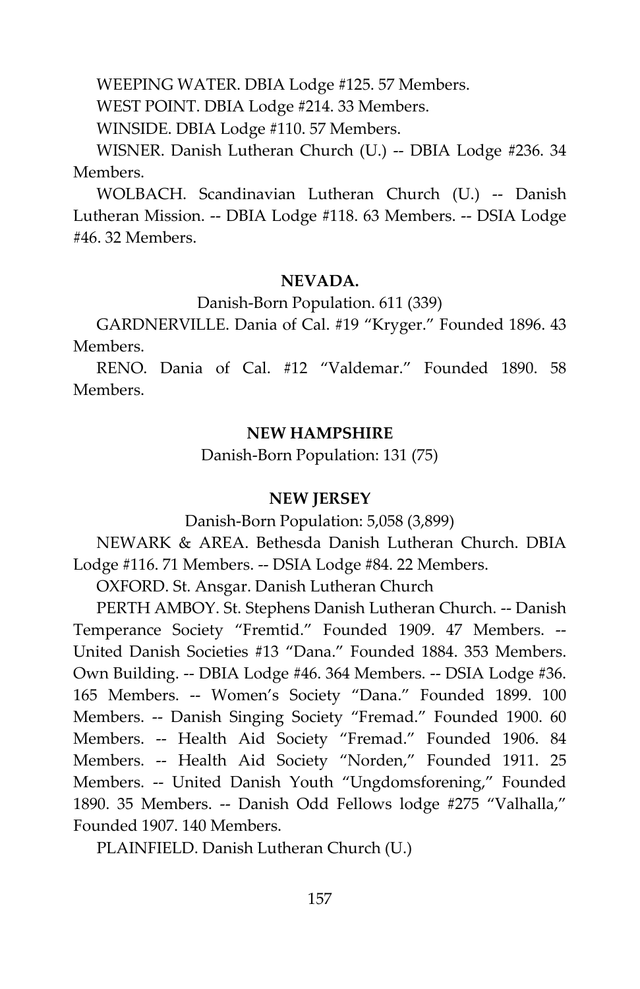WEEPING WATER. DBIA Lodge #125. 57 Members.

WEST POINT. DBIA Lodge #214. 33 Members.

WINSIDE. DBIA Lodge #110. 57 Members.

WISNER. Danish Lutheran Church (U.) -- DBIA Lodge #236. 34 Members.

WOLBACH. Scandinavian Lutheran Church (U.) -- Danish Lutheran Mission. -- DBIA Lodge #118. 63 Members. -- DSIA Lodge #46. 32 Members.

# **NEVADA.**

Danish-Born Population. 611 (339)

GARDNERVILLE. Dania of Cal. #19 "Kryger." Founded 1896. 43 Members.

RENO. Dania of Cal. #12 "Valdemar." Founded 1890. 58 Members.

# **NEW HAMPSHIRE**

Danish-Born Population: 131 (75)

#### **NEW JERSEY**

Danish-Born Population: 5,058 (3,899)

NEWARK & AREA. Bethesda Danish Lutheran Church. DBIA Lodge #116. 71 Members. -- DSIA Lodge #84. 22 Members.

OXFORD. St. Ansgar. Danish Lutheran Church

PERTH AMBOY. St. Stephens Danish Lutheran Church. -- Danish Temperance Society "Fremtid." Founded 1909. 47 Members. -- United Danish Societies #13 "Dana." Founded 1884. 353 Members. Own Building. -- DBIA Lodge #46. 364 Members. -- DSIA Lodge #36. 165 Members. -- Women's Society "Dana." Founded 1899. 100 Members. -- Danish Singing Society "Fremad." Founded 1900. 60 Members. -- Health Aid Society "Fremad." Founded 1906. 84 Members. -- Health Aid Society "Norden," Founded 1911. 25 Members. -- United Danish Youth "Ungdomsforening," Founded 1890. 35 Members. -- Danish Odd Fellows lodge #275 "Valhalla," Founded 1907. 140 Members.

PLAINFIELD. Danish Lutheran Church (U.)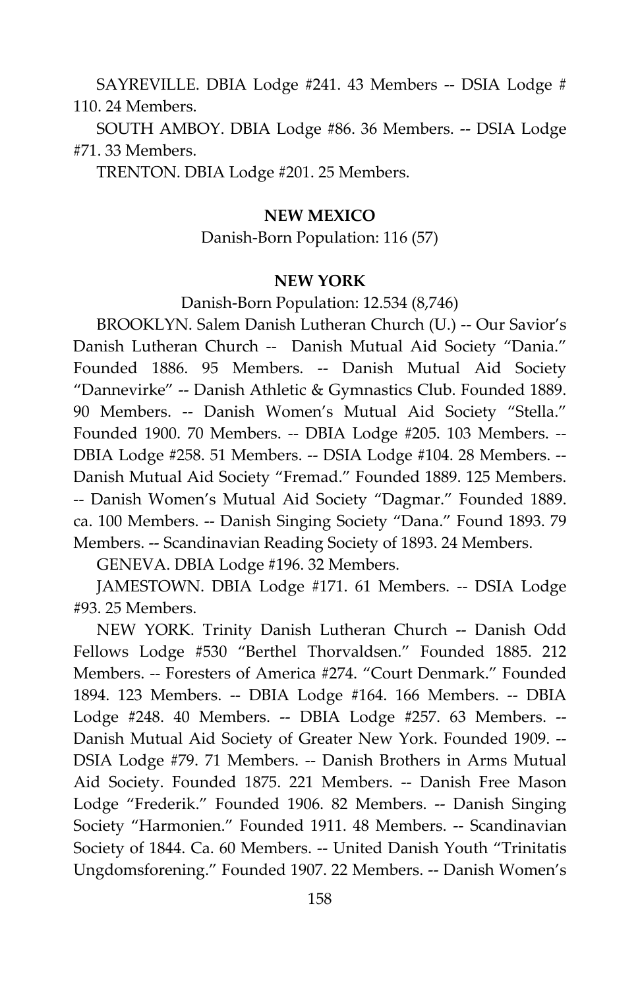SAYREVILLE. DBIA Lodge #241. 43 Members -- DSIA Lodge # 110. 24 Members.

SOUTH AMBOY. DBIA Lodge #86. 36 Members. -- DSIA Lodge #71. 33 Members.

TRENTON. DBIA Lodge #201. 25 Members.

# **NEW MEXICO**

# Danish-Born Population: 116 (57)

#### **NEW YORK**

Danish-Born Population: 12.534 (8,746)

BROOKLYN. Salem Danish Lutheran Church (U.) -- Our Savior's Danish Lutheran Church -- Danish Mutual Aid Society "Dania." Founded 1886. 95 Members. -- Danish Mutual Aid Society "Dannevirke" -- Danish Athletic & Gymnastics Club. Founded 1889. 90 Members. -- Danish Women's Mutual Aid Society "Stella." Founded 1900. 70 Members. -- DBIA Lodge #205. 103 Members. -- DBIA Lodge #258. 51 Members. -- DSIA Lodge #104. 28 Members. -- Danish Mutual Aid Society "Fremad." Founded 1889. 125 Members. -- Danish Women's Mutual Aid Society "Dagmar." Founded 1889. ca. 100 Members. -- Danish Singing Society "Dana." Found 1893. 79 Members. -- Scandinavian Reading Society of 1893. 24 Members.

GENEVA. DBIA Lodge #196. 32 Members.

JAMESTOWN. DBIA Lodge #171. 61 Members. -- DSIA Lodge #93. 25 Members.

NEW YORK. Trinity Danish Lutheran Church -- Danish Odd Fellows Lodge #530 "Berthel Thorvaldsen." Founded 1885. 212 Members. -- Foresters of America #274. "Court Denmark." Founded 1894. 123 Members. -- DBIA Lodge #164. 166 Members. -- DBIA Lodge #248. 40 Members. -- DBIA Lodge #257. 63 Members. -- Danish Mutual Aid Society of Greater New York. Founded 1909. -- DSIA Lodge #79. 71 Members. -- Danish Brothers in Arms Mutual Aid Society. Founded 1875. 221 Members. -- Danish Free Mason Lodge "Frederik." Founded 1906. 82 Members. -- Danish Singing Society "Harmonien." Founded 1911. 48 Members. -- Scandinavian Society of 1844. Ca. 60 Members. -- United Danish Youth "Trinitatis Ungdomsforening." Founded 1907. 22 Members. -- Danish Women's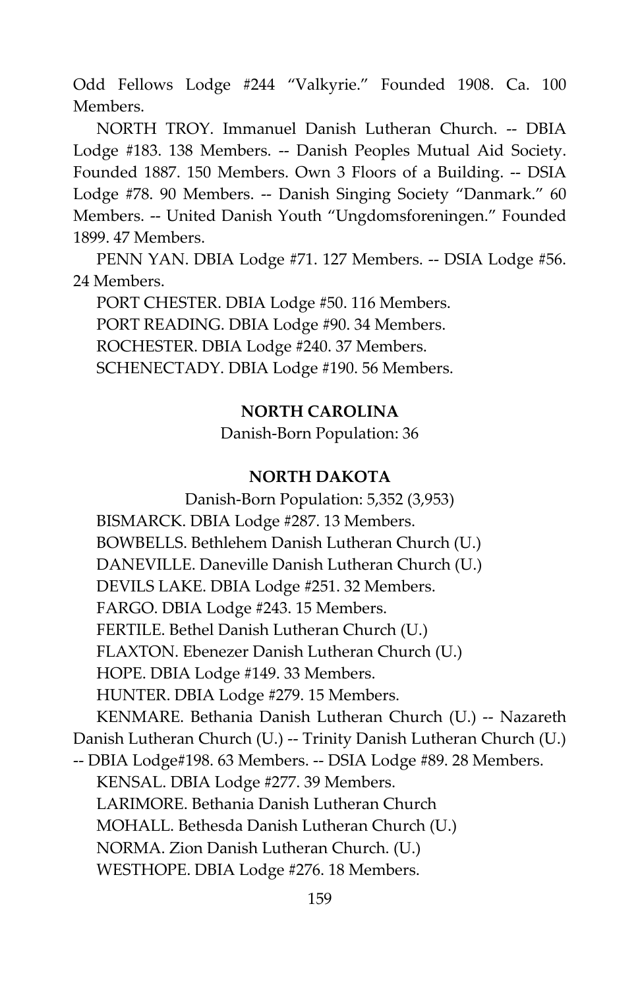Odd Fellows Lodge #244 "Valkyrie." Founded 1908. Ca. 100 Members.

NORTH TROY. Immanuel Danish Lutheran Church. -- DBIA Lodge #183. 138 Members. -- Danish Peoples Mutual Aid Society. Founded 1887. 150 Members. Own 3 Floors of a Building. -- DSIA Lodge #78. 90 Members. -- Danish Singing Society "Danmark." 60 Members. -- United Danish Youth "Ungdomsforeningen." Founded 1899. 47 Members.

PENN YAN. DBIA Lodge #71. 127 Members. -- DSIA Lodge #56. 24 Members.

PORT CHESTER. DBIA Lodge #50. 116 Members. PORT READING. DBIA Lodge #90. 34 Members. ROCHESTER. DBIA Lodge #240. 37 Members. SCHENECTADY. DBIA Lodge #190. 56 Members.

# **NORTH CAROLINA**

Danish-Born Population: 36

# **NORTH DAKOTA**

Danish-Born Population: 5,352 (3,953) BISMARCK. DBIA Lodge #287. 13 Members. BOWBELLS. Bethlehem Danish Lutheran Church (U.) DANEVILLE. Daneville Danish Lutheran Church (U.) DEVILS LAKE. DBIA Lodge #251. 32 Members. FARGO. DBIA Lodge #243. 15 Members. FERTILE. Bethel Danish Lutheran Church (U.) FLAXTON. Ebenezer Danish Lutheran Church (U.) HOPE. DBIA Lodge #149. 33 Members. HUNTER. DBIA Lodge #279. 15 Members. KENMARE. Bethania Danish Lutheran Church (U.) -- Nazareth Danish Lutheran Church (U.) -- Trinity Danish Lutheran Church (U.) -- DBIA Lodge#198. 63 Members. -- DSIA Lodge #89. 28 Members. KENSAL. DBIA Lodge #277. 39 Members. LARIMORE. Bethania Danish Lutheran Church MOHALL. Bethesda Danish Lutheran Church (U.) NORMA. Zion Danish Lutheran Church. (U.) WESTHOPE. DBIA Lodge #276. 18 Members.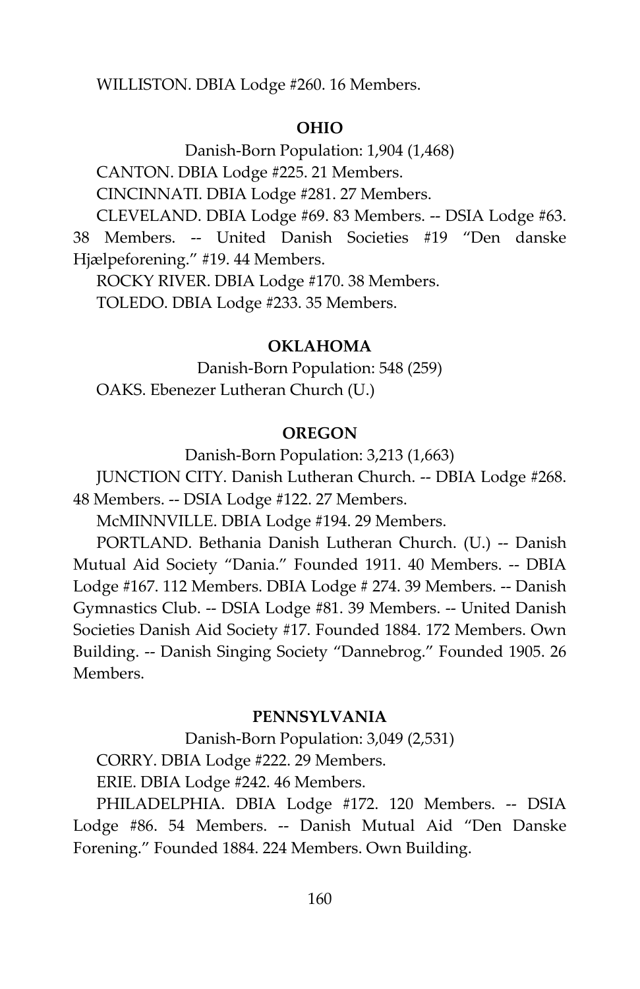WILLISTON. DBIA Lodge #260. 16 Members.

#### **OHIO**

Danish-Born Population: 1,904 (1,468) CANTON. DBIA Lodge #225. 21 Members. CINCINNATI. DBIA Lodge #281. 27 Members. CLEVELAND. DBIA Lodge #69. 83 Members. -- DSIA Lodge #63.

38 Members. -- United Danish Societies #19 "Den danske Hjælpeforening." #19. 44 Members.

ROCKY RIVER. DBIA Lodge #170. 38 Members. TOLEDO. DBIA Lodge #233. 35 Members.

#### **OKLAHOMA**

Danish-Born Population: 548 (259) OAKS. Ebenezer Lutheran Church (U.)

# **OREGON**

Danish-Born Population: 3,213 (1,663)

JUNCTION CITY. Danish Lutheran Church. -- DBIA Lodge #268. 48 Members. -- DSIA Lodge #122. 27 Members.

McMINNVILLE. DBIA Lodge #194. 29 Members.

PORTLAND. Bethania Danish Lutheran Church. (U.) -- Danish Mutual Aid Society "Dania." Founded 1911. 40 Members. -- DBIA Lodge #167. 112 Members. DBIA Lodge # 274. 39 Members. -- Danish Gymnastics Club. -- DSIA Lodge #81. 39 Members. -- United Danish Societies Danish Aid Society #17. Founded 1884. 172 Members. Own Building. -- Danish Singing Society "Dannebrog." Founded 1905. 26 Members.

# **PENNSYLVANIA**

Danish-Born Population: 3,049 (2,531) CORRY. DBIA Lodge #222. 29 Members. ERIE. DBIA Lodge #242. 46 Members.

PHILADELPHIA. DBIA Lodge #172. 120 Members. -- DSIA Lodge #86. 54 Members. -- Danish Mutual Aid "Den Danske Forening." Founded 1884. 224 Members. Own Building.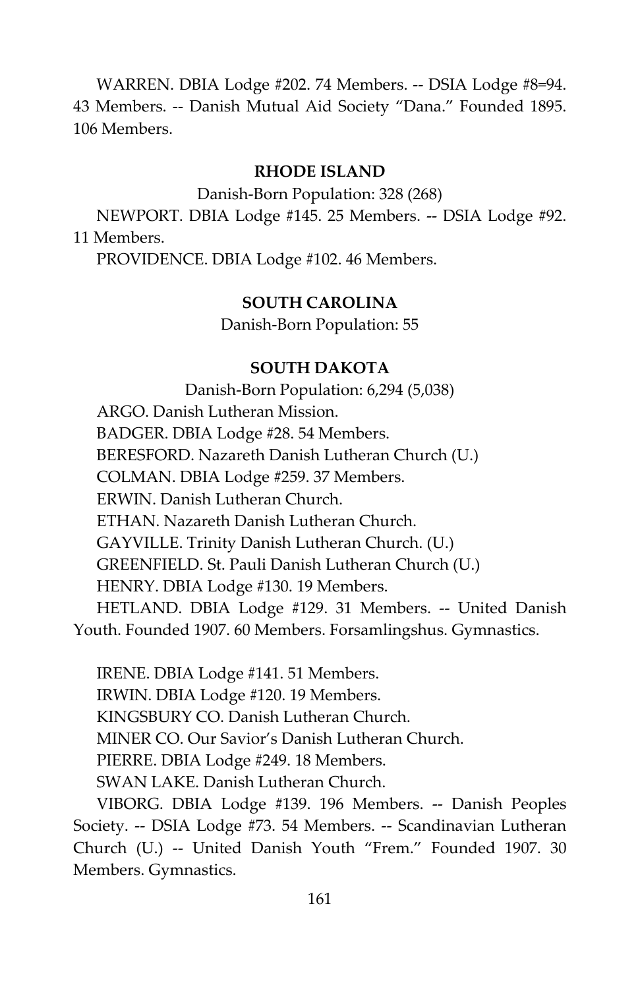WARREN. DBIA Lodge #202. 74 Members. -- DSIA Lodge #8=94. 43 Members. -- Danish Mutual Aid Society "Dana." Founded 1895. 106 Members.

#### **RHODE ISLAND**

Danish-Born Population: 328 (268)

NEWPORT. DBIA Lodge #145. 25 Members. -- DSIA Lodge #92. 11 Members.

PROVIDENCE. DBIA Lodge #102. 46 Members.

#### **SOUTH CAROLINA**

Danish-Born Population: 55

## **SOUTH DAKOTA**

Danish-Born Population: 6,294 (5,038) ARGO. Danish Lutheran Mission. BADGER. DBIA Lodge #28. 54 Members. BERESFORD. Nazareth Danish Lutheran Church (U.) COLMAN. DBIA Lodge #259. 37 Members. ERWIN. Danish Lutheran Church. ETHAN. Nazareth Danish Lutheran Church. GAYVILLE. Trinity Danish Lutheran Church. (U.) GREENFIELD. St. Pauli Danish Lutheran Church (U.) HENRY. DBIA Lodge #130. 19 Members. HETLAND. DBIA Lodge #129. 31 Members. -- United Danish Youth. Founded 1907. 60 Members. Forsamlingshus. Gymnastics.

IRENE. DBIA Lodge #141. 51 Members. IRWIN. DBIA Lodge #120. 19 Members. KINGSBURY CO. Danish Lutheran Church. MINER CO. Our Savior's Danish Lutheran Church. PIERRE. DBIA Lodge #249. 18 Members. SWAN LAKE. Danish Lutheran Church. VIBORG. DBIA Lodge #139. 196 Members. -- Danish Peoples

Society. -- DSIA Lodge #73. 54 Members. -- Scandinavian Lutheran Church (U.) -- United Danish Youth "Frem." Founded 1907. 30 Members. Gymnastics.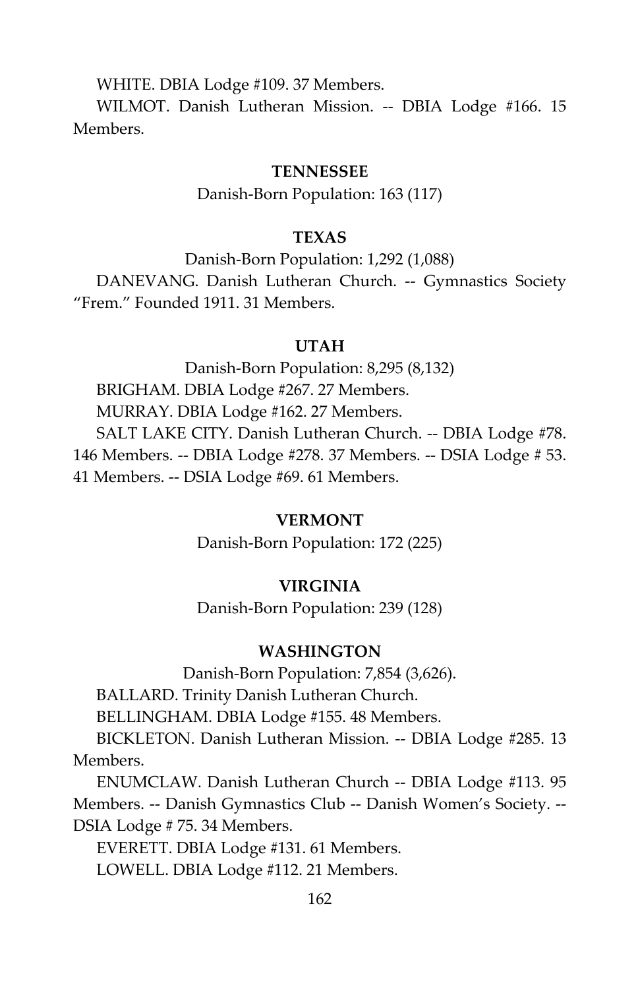WHITE. DBIA Lodge #109. 37 Members.

WILMOT. Danish Lutheran Mission. -- DBIA Lodge #166. 15 Members.

#### **TENNESSEE**

Danish-Born Population: 163 (117)

# **TEXAS**

Danish-Born Population: 1,292 (1,088) DANEVANG. Danish Lutheran Church. -- Gymnastics Society "Frem." Founded 1911. 31 Members.

#### **UTAH**

Danish-Born Population: 8,295 (8,132) BRIGHAM. DBIA Lodge #267. 27 Members. MURRAY. DBIA Lodge #162. 27 Members. SALT LAKE CITY. Danish Lutheran Church. -- DBIA Lodge #78. 146 Members. -- DBIA Lodge #278. 37 Members. -- DSIA Lodge # 53. 41 Members. -- DSIA Lodge #69. 61 Members.

# **VERMONT**

Danish-Born Population: 172 (225)

#### **VIRGINIA**

Danish-Born Population: 239 (128)

# **WASHINGTON**

Danish-Born Population: 7,854 (3,626).

BALLARD. Trinity Danish Lutheran Church.

BELLINGHAM. DBIA Lodge #155. 48 Members.

BICKLETON. Danish Lutheran Mission. -- DBIA Lodge #285. 13 Members.

ENUMCLAW. Danish Lutheran Church -- DBIA Lodge #113. 95 Members. -- Danish Gymnastics Club -- Danish Women's Society. -- DSIA Lodge # 75. 34 Members.

EVERETT. DBIA Lodge #131. 61 Members.

LOWELL. DBIA Lodge #112. 21 Members.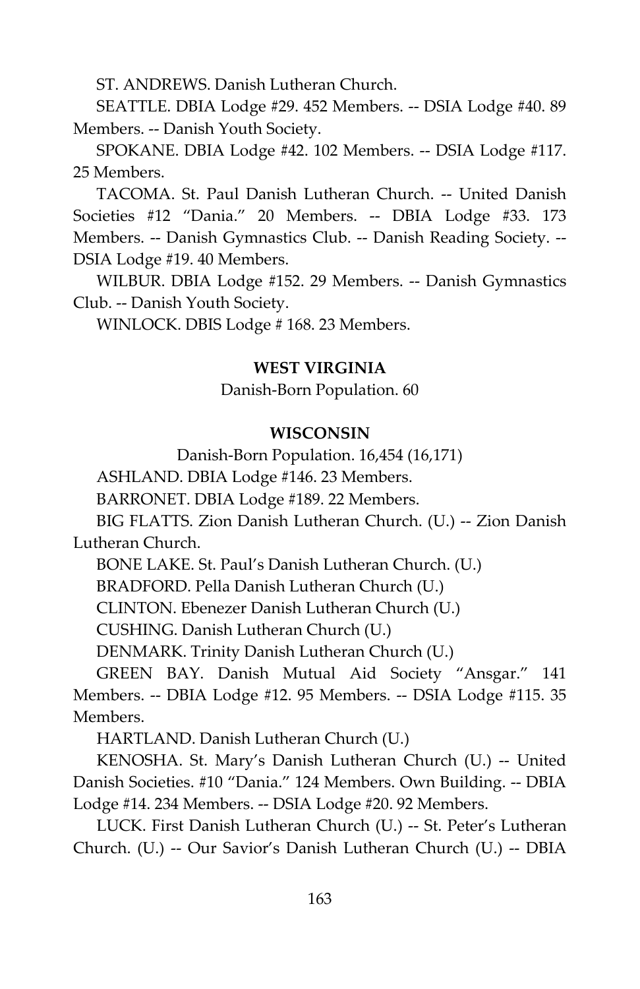ST. ANDREWS. Danish Lutheran Church.

SEATTLE. DBIA Lodge #29. 452 Members. -- DSIA Lodge #40. 89 Members. -- Danish Youth Society.

SPOKANE. DBIA Lodge #42. 102 Members. -- DSIA Lodge #117. 25 Members.

TACOMA. St. Paul Danish Lutheran Church. -- United Danish Societies #12 "Dania." 20 Members. -- DBIA Lodge #33. 173 Members. -- Danish Gymnastics Club. -- Danish Reading Society. -- DSIA Lodge #19. 40 Members.

WILBUR. DBIA Lodge #152. 29 Members. -- Danish Gymnastics Club. -- Danish Youth Society.

WINLOCK. DBIS Lodge # 168. 23 Members.

# **WEST VIRGINIA**

Danish-Born Population. 60

# **WISCONSIN**

Danish-Born Population. 16,454 (16,171)

ASHLAND. DBIA Lodge #146. 23 Members.

BARRONET. DBIA Lodge #189. 22 Members.

BIG FLATTS. Zion Danish Lutheran Church. (U.) -- Zion Danish Lutheran Church.

BONE LAKE. St. Paul's Danish Lutheran Church. (U.)

BRADFORD. Pella Danish Lutheran Church (U.)

CLINTON. Ebenezer Danish Lutheran Church (U.)

CUSHING. Danish Lutheran Church (U.)

DENMARK. Trinity Danish Lutheran Church (U.)

GREEN BAY. Danish Mutual Aid Society "Ansgar." 141 Members. -- DBIA Lodge #12. 95 Members. -- DSIA Lodge #115. 35 Members.

HARTLAND. Danish Lutheran Church (U.)

KENOSHA. St. Mary's Danish Lutheran Church (U.) -- United Danish Societies. #10 "Dania." 124 Members. Own Building. -- DBIA Lodge #14. 234 Members. -- DSIA Lodge #20. 92 Members.

LUCK. First Danish Lutheran Church (U.) -- St. Peter's Lutheran Church. (U.) -- Our Savior's Danish Lutheran Church (U.) -- DBIA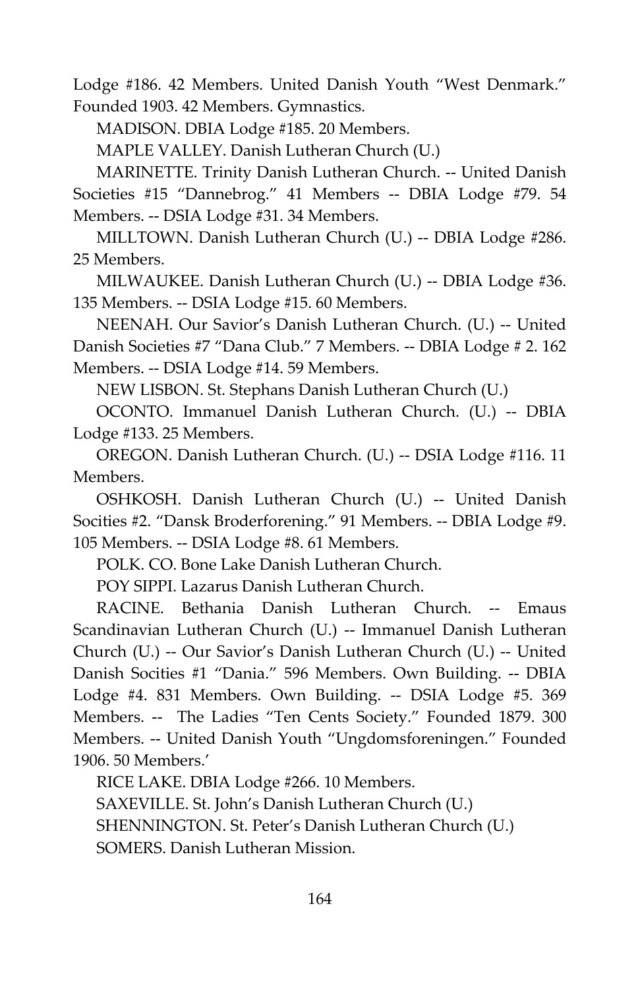Lodge #186. 42 Members. United Danish Youth "West Denmark." Founded 1903. 42 Members. Gymnastics.

MADISON. DBIA Lodge #185. 20 Members.

MAPLE VALLEY. Danish Lutheran Church (U.)

MARINETTE. Trinity Danish Lutheran Church. -- United Danish Societies #15 "Dannebrog." 41 Members -- DBIA Lodge #79. 54 Members. -- DSIA Lodge #31. 34 Members.

MILLTOWN. Danish Lutheran Church (U.) -- DBIA Lodge #286. 25 Members.

MILWAUKEE. Danish Lutheran Church (U.) -- DBIA Lodge #36. 135 Members. -- DSIA Lodge #15. 60 Members.

NEENAH. Our Savior's Danish Lutheran Church. (U.) -- United Danish Societies #7 "Dana Club." 7 Members. -- DBIA Lodge # 2. 162 Members. -- DSIA Lodge #14. 59 Members.

NEW LISBON. St. Stephans Danish Lutheran Church (U.)

OCONTO. Immanuel Danish Lutheran Church. (U.) -- DBIA Lodge #133. 25 Members.

OREGON. Danish Lutheran Church. (U.) -- DSIA Lodge #116. 11 Members.

OSHKOSH. Danish Lutheran Church (U.) -- United Danish Socities #2. "Dansk Broderforening." 91 Members. -- DBIA Lodge #9. 105 Members. -- DSIA Lodge #8. 61 Members.

POLK. CO. Bone Lake Danish Lutheran Church.

POY SIPPI. Lazarus Danish Lutheran Church.

RACINE. Bethania Danish Lutheran Church. -- Emaus Scandinavian Lutheran Church (U.) -- Immanuel Danish Lutheran Church (U.) -- Our Savior's Danish Lutheran Church (U.) -- United Danish Socities #1 "Dania." 596 Members. Own Building. -- DBIA Lodge #4. 831 Members. Own Building. -- DSIA Lodge #5. 369 Members. -- The Ladies "Ten Cents Society." Founded 1879. 300 Members. -- United Danish Youth "Ungdomsforeningen." Founded 1906. 50 Members.'

RICE LAKE. DBIA Lodge #266. 10 Members.

SAXEVILLE. St. John's Danish Lutheran Church (U.)

SHENNINGTON. St. Peter's Danish Lutheran Church (U.)

SOMERS. Danish Lutheran Mission.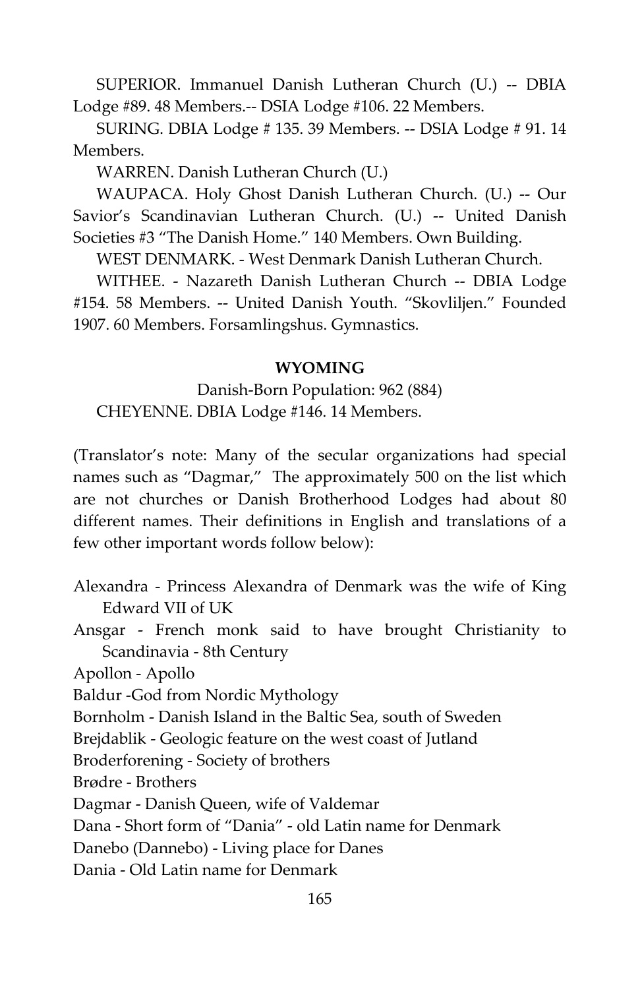SUPERIOR. Immanuel Danish Lutheran Church (U.) -- DBIA Lodge #89. 48 Members.-- DSIA Lodge #106. 22 Members.

SURING. DBIA Lodge # 135. 39 Members. -- DSIA Lodge # 91. 14 Members.

WARREN. Danish Lutheran Church (U.)

WAUPACA. Holy Ghost Danish Lutheran Church. (U.) -- Our Savior's Scandinavian Lutheran Church. (U.) -- United Danish Societies #3 "The Danish Home." 140 Members. Own Building.

WEST DENMARK. - West Denmark Danish Lutheran Church.

WITHEE. - Nazareth Danish Lutheran Church -- DBIA Lodge #154. 58 Members. -- United Danish Youth. "Skovliljen." Founded 1907. 60 Members. Forsamlingshus. Gymnastics.

#### **WYOMING**

Danish-Born Population: 962 (884) CHEYENNE. DBIA Lodge #146. 14 Members.

(Translator's note: Many of the secular organizations had special names such as "Dagmar," The approximately 500 on the list which are not churches or Danish Brotherhood Lodges had about 80 different names. Their definitions in English and translations of a few other important words follow below):

- Alexandra Princess Alexandra of Denmark was the wife of King Edward VII of UK
- Ansgar French monk said to have brought Christianity to Scandinavia - 8th Century

Apollon - Apollo

Baldur -God from Nordic Mythology

Bornholm - Danish Island in the Baltic Sea, south of Sweden

Brejdablik - Geologic feature on the west coast of Jutland

Broderforening - Society of brothers

Brødre - Brothers

Dagmar - Danish Queen, wife of Valdemar

Dana - Short form of "Dania" - old Latin name for Denmark

Danebo (Dannebo) - Living place for Danes

Dania - Old Latin name for Denmark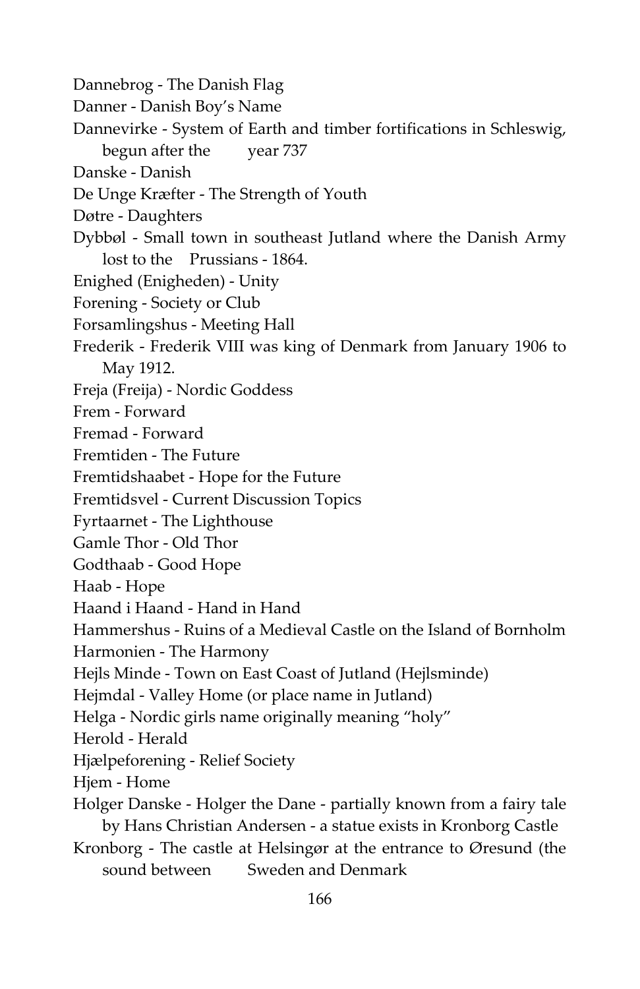- Dannebrog The Danish Flag
- Danner Danish Boy's Name
- Dannevirke System of Earth and timber fortifications in Schleswig, begun after the year 737
- Danske Danish
- De Unge Kræfter The Strength of Youth
- Døtre Daughters
- Dybbøl Small town in southeast Jutland where the Danish Army lost to the Prussians - 1864.
- Enighed (Enigheden) Unity
- Forening Society or Club
- Forsamlingshus Meeting Hall
- Frederik Frederik VIII was king of Denmark from January 1906 to May 1912.
- Freja (Freija) Nordic Goddess
- Frem Forward
- Fremad Forward
- Fremtiden The Future
- Fremtidshaabet Hope for the Future
- Fremtidsvel Current Discussion Topics
- Fyrtaarnet The Lighthouse
- Gamle Thor Old Thor
- Godthaab Good Hope
- Haab Hope
- Haand i Haand Hand in Hand
- Hammershus Ruins of a Medieval Castle on the Island of Bornholm
- Harmonien The Harmony
- Hejls Minde Town on East Coast of Jutland (Hejlsminde)
- Hejmdal Valley Home (or place name in Jutland)
- Helga Nordic girls name originally meaning "holy"
- Herold Herald
- Hjælpeforening Relief Society
- Hjem Home
- Holger Danske Holger the Dane partially known from a fairy tale by Hans Christian Andersen - a statue exists in Kronborg Castle
- Kronborg The castle at Helsingør at the entrance to Øresund (the sound between Sweden and Denmark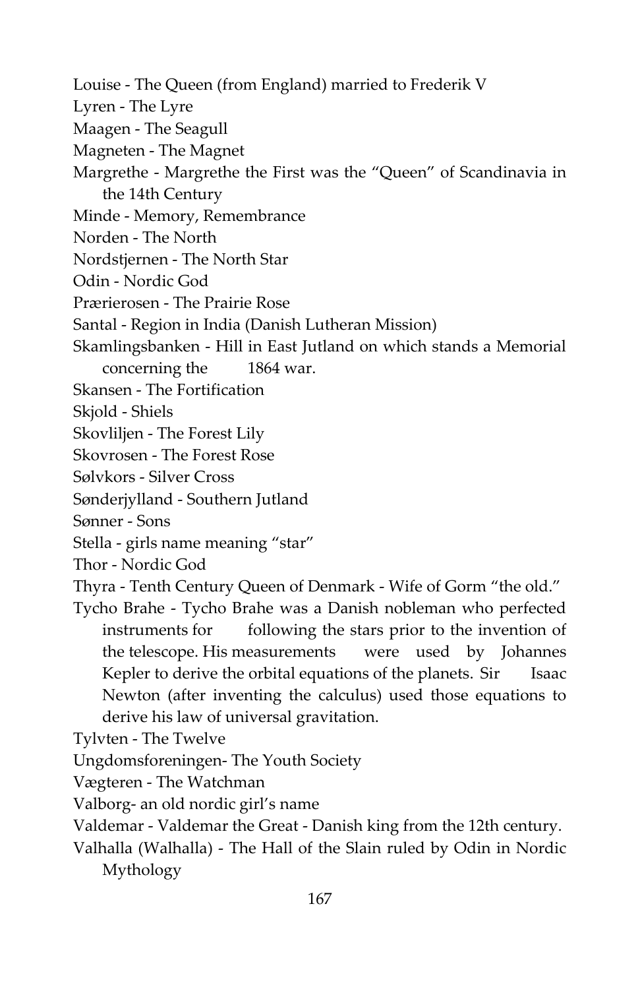- Louise The Queen (from England) married to Frederik V
- Lyren The Lyre
- Maagen The Seagull
- Magneten The Magnet
- Margrethe Margrethe the First was the "Queen" of Scandinavia in the 14th Century
- Minde Memory, Remembrance
- Norden The North
- Nordstjernen The North Star
- Odin Nordic God
- Prærierosen The Prairie Rose
- Santal Region in India (Danish Lutheran Mission)
- Skamlingsbanken Hill in East Jutland on which stands a Memorial concerning the 1864 war.
- Skansen The Fortification
- Skjold Shiels
- Skovliljen The Forest Lily
- Skovrosen The Forest Rose
- Sølvkors Silver Cross
- Sønderjylland Southern Jutland
- Sønner Sons
- Stella girls name meaning "star"
- Thor Nordic God
- Thyra Tenth Century Queen of Denmark Wife of Gorm "the old."
- Tycho Brahe Tycho Brahe was a Danish nobleman who perfected instruments for following the stars prior to the invention of the telescope. His measurements were used by Johannes Kepler to derive the orbital equations of the planets. Sir Isaac Newton (after inventing the calculus) used those equations to derive his law of universal gravitation.
- Tylvten The Twelve
- Ungdomsforeningen- The Youth Society
- Vægteren The Watchman
- Valborg- an old nordic girl's name
- Valdemar Valdemar the Great Danish king from the 12th century.
- Valhalla (Walhalla) The Hall of the Slain ruled by Odin in Nordic Mythology